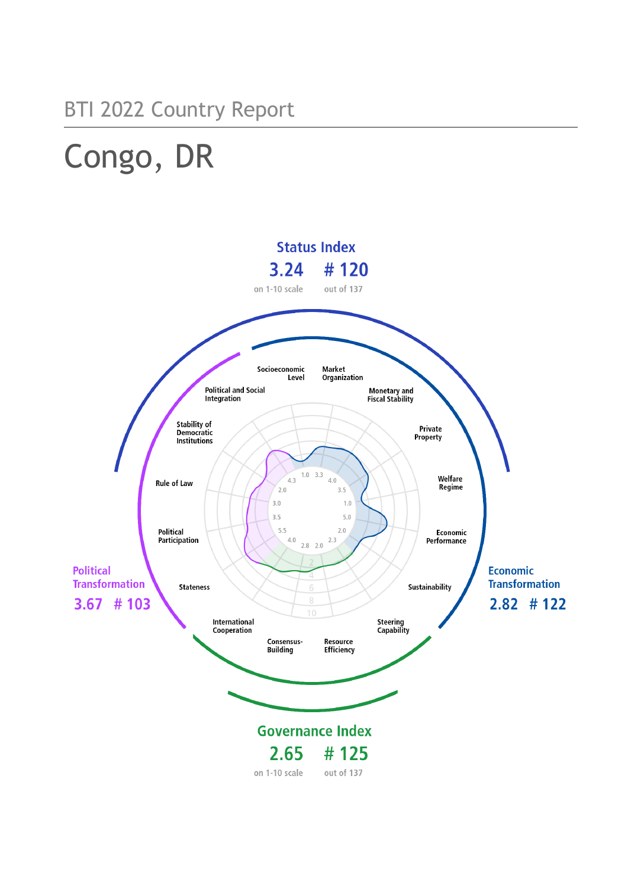## BTI 2022 Country Report

# Congo, DR

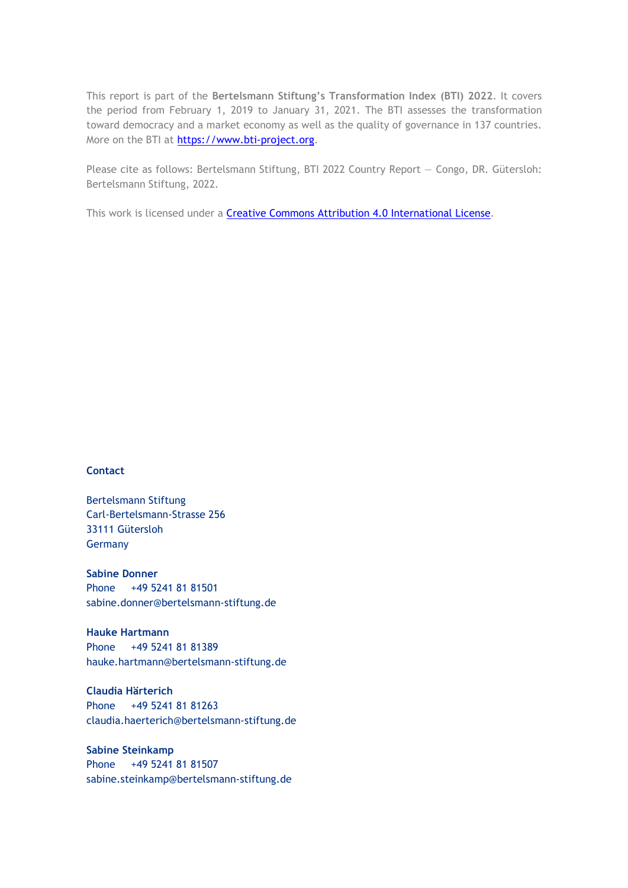This report is part of the **Bertelsmann Stiftung's Transformation Index (BTI) 2022**. It covers the period from February 1, 2019 to January 31, 2021. The BTI assesses the transformation toward democracy and a market economy as well as the quality of governance in 137 countries. More on the BTI at [https://www.bti-project.org.](https://www.bti-project.org/)

Please cite as follows: Bertelsmann Stiftung, BTI 2022 Country Report — Congo, DR. Gütersloh: Bertelsmann Stiftung, 2022.

This work is licensed under a **Creative Commons Attribution 4.0 International License**.

#### **Contact**

Bertelsmann Stiftung Carl-Bertelsmann-Strasse 256 33111 Gütersloh Germany

**Sabine Donner** Phone +49 5241 81 81501 sabine.donner@bertelsmann-stiftung.de

**Hauke Hartmann** Phone +49 5241 81 81389 hauke.hartmann@bertelsmann-stiftung.de

**Claudia Härterich** Phone +49 5241 81 81263 claudia.haerterich@bertelsmann-stiftung.de

#### **Sabine Steinkamp** Phone +49 5241 81 81507 sabine.steinkamp@bertelsmann-stiftung.de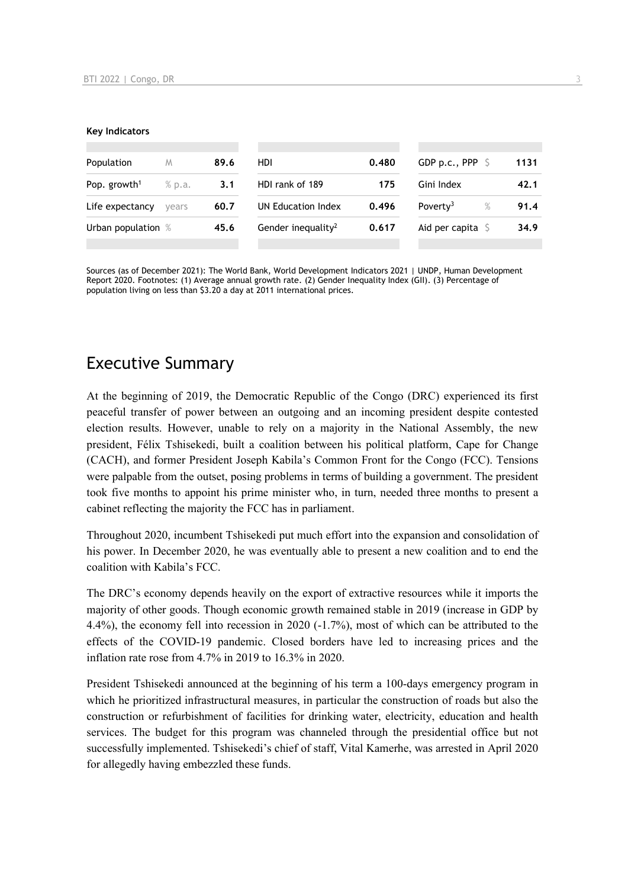#### **Key Indicators**

| Population               | M      | 89.6 | HDI                            | 0.480 | GDP p.c., PPP $\ S$          | 1131 |
|--------------------------|--------|------|--------------------------------|-------|------------------------------|------|
| Pop. growth <sup>1</sup> | % p.a. | 3.1  | HDI rank of 189                | 175   | Gini Index                   | 42.1 |
| Life expectancy          | vears  | 60.7 | UN Education Index             | 0.496 | Poverty <sup>3</sup><br>$\%$ | 91.4 |
| Urban population %       |        | 45.6 | Gender inequality <sup>2</sup> | 0.617 | Aid per capita $\mathsf S$   | 34.9 |
|                          |        |      |                                |       |                              |      |

Sources (as of December 2021): The World Bank, World Development Indicators 2021 | UNDP, Human Development Report 2020. Footnotes: (1) Average annual growth rate. (2) Gender Inequality Index (GII). (3) Percentage of population living on less than \$3.20 a day at 2011 international prices.

## Executive Summary

At the beginning of 2019, the Democratic Republic of the Congo (DRC) experienced its first peaceful transfer of power between an outgoing and an incoming president despite contested election results. However, unable to rely on a majority in the National Assembly, the new president, Félix Tshisekedi, built a coalition between his political platform, Cape for Change (CACH), and former President Joseph Kabila's Common Front for the Congo (FCC). Tensions were palpable from the outset, posing problems in terms of building a government. The president took five months to appoint his prime minister who, in turn, needed three months to present a cabinet reflecting the majority the FCC has in parliament.

Throughout 2020, incumbent Tshisekedi put much effort into the expansion and consolidation of his power. In December 2020, he was eventually able to present a new coalition and to end the coalition with Kabila's FCC.

The DRC's economy depends heavily on the export of extractive resources while it imports the majority of other goods. Though economic growth remained stable in 2019 (increase in GDP by 4.4%), the economy fell into recession in 2020 (-1.7%), most of which can be attributed to the effects of the COVID-19 pandemic. Closed borders have led to increasing prices and the inflation rate rose from 4.7% in 2019 to 16.3% in 2020.

President Tshisekedi announced at the beginning of his term a 100-days emergency program in which he prioritized infrastructural measures, in particular the construction of roads but also the construction or refurbishment of facilities for drinking water, electricity, education and health services. The budget for this program was channeled through the presidential office but not successfully implemented. Tshisekedi's chief of staff, Vital Kamerhe, was arrested in April 2020 for allegedly having embezzled these funds.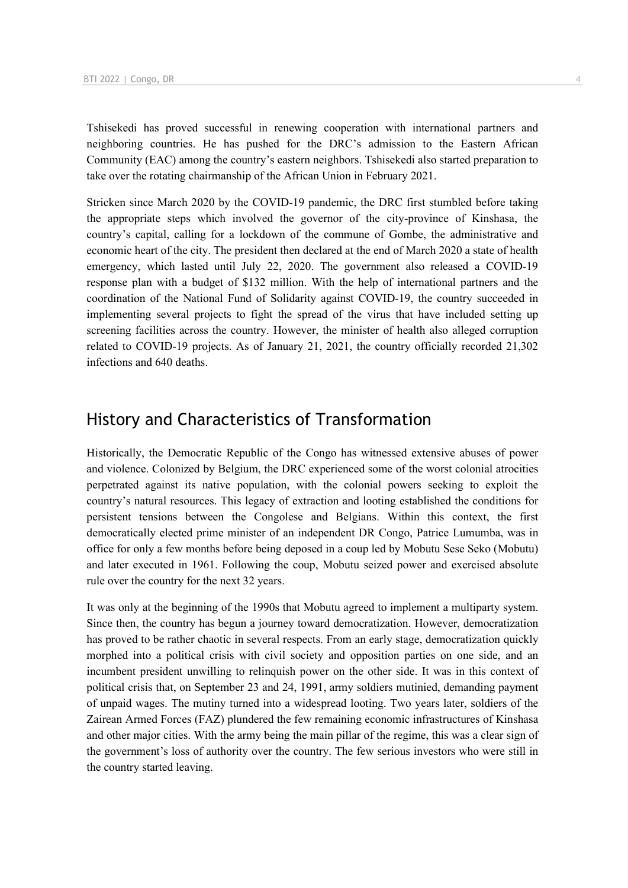Tshisekedi has proved successful in renewing cooperation with international partners and neighboring countries. He has pushed for the DRC's admission to the Eastern African Community (EAC) among the country's eastern neighbors. Tshisekedi also started preparation to take over the rotating chairmanship of the African Union in February 2021.

Stricken since March 2020 by the COVID-19 pandemic, the DRC first stumbled before taking the appropriate steps which involved the governor of the city-province of Kinshasa, the country's capital, calling for a lockdown of the commune of Gombe, the administrative and economic heart of the city. The president then declared at the end of March 2020 a state of health emergency, which lasted until July 22, 2020. The government also released a COVID-19 response plan with a budget of \$132 million. With the help of international partners and the coordination of the National Fund of Solidarity against COVID-19, the country succeeded in implementing several projects to fight the spread of the virus that have included setting up screening facilities across the country. However, the minister of health also alleged corruption related to COVID-19 projects. As of January 21, 2021, the country officially recorded 21,302 infections and 640 deaths.

## History and Characteristics of Transformation

Historically, the Democratic Republic of the Congo has witnessed extensive abuses of power and violence. Colonized by Belgium, the DRC experienced some of the worst colonial atrocities perpetrated against its native population, with the colonial powers seeking to exploit the country's natural resources. This legacy of extraction and looting established the conditions for persistent tensions between the Congolese and Belgians. Within this context, the first democratically elected prime minister of an independent DR Congo, Patrice Lumumba, was in office for only a few months before being deposed in a coup led by Mobutu Sese Seko (Mobutu) and later executed in 1961. Following the coup, Mobutu seized power and exercised absolute rule over the country for the next 32 years.

It was only at the beginning of the 1990s that Mobutu agreed to implement a multiparty system. Since then, the country has begun a journey toward democratization. However, democratization has proved to be rather chaotic in several respects. From an early stage, democratization quickly morphed into a political crisis with civil society and opposition parties on one side, and an incumbent president unwilling to relinquish power on the other side. It was in this context of political crisis that, on September 23 and 24, 1991, army soldiers mutinied, demanding payment of unpaid wages. The mutiny turned into a widespread looting. Two years later, soldiers of the Zairean Armed Forces (FAZ) plundered the few remaining economic infrastructures of Kinshasa and other major cities. With the army being the main pillar of the regime, this was a clear sign of the government's loss of authority over the country. The few serious investors who were still in the country started leaving.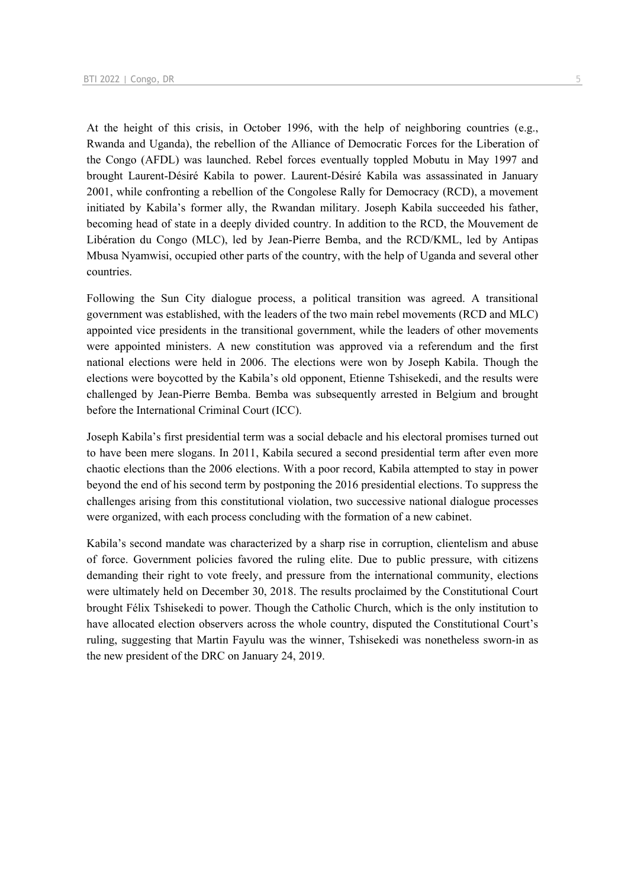At the height of this crisis, in October 1996, with the help of neighboring countries (e.g., Rwanda and Uganda), the rebellion of the Alliance of Democratic Forces for the Liberation of the Congo (AFDL) was launched. Rebel forces eventually toppled Mobutu in May 1997 and brought Laurent-Désiré Kabila to power. Laurent-Désiré Kabila was assassinated in January 2001, while confronting a rebellion of the Congolese Rally for Democracy (RCD), a movement initiated by Kabila's former ally, the Rwandan military. Joseph Kabila succeeded his father, becoming head of state in a deeply divided country. In addition to the RCD, the Mouvement de Libération du Congo (MLC), led by Jean-Pierre Bemba, and the RCD/KML, led by Antipas Mbusa Nyamwisi, occupied other parts of the country, with the help of Uganda and several other countries.

Following the Sun City dialogue process, a political transition was agreed. A transitional government was established, with the leaders of the two main rebel movements (RCD and MLC) appointed vice presidents in the transitional government, while the leaders of other movements were appointed ministers. A new constitution was approved via a referendum and the first national elections were held in 2006. The elections were won by Joseph Kabila. Though the elections were boycotted by the Kabila's old opponent, Etienne Tshisekedi, and the results were challenged by Jean-Pierre Bemba. Bemba was subsequently arrested in Belgium and brought before the International Criminal Court (ICC).

Joseph Kabila's first presidential term was a social debacle and his electoral promises turned out to have been mere slogans. In 2011, Kabila secured a second presidential term after even more chaotic elections than the 2006 elections. With a poor record, Kabila attempted to stay in power beyond the end of his second term by postponing the 2016 presidential elections. To suppress the challenges arising from this constitutional violation, two successive national dialogue processes were organized, with each process concluding with the formation of a new cabinet.

Kabila's second mandate was characterized by a sharp rise in corruption, clientelism and abuse of force. Government policies favored the ruling elite. Due to public pressure, with citizens demanding their right to vote freely, and pressure from the international community, elections were ultimately held on December 30, 2018. The results proclaimed by the Constitutional Court brought Félix Tshisekedi to power. Though the Catholic Church, which is the only institution to have allocated election observers across the whole country, disputed the Constitutional Court's ruling, suggesting that Martin Fayulu was the winner, Tshisekedi was nonetheless sworn-in as the new president of the DRC on January 24, 2019.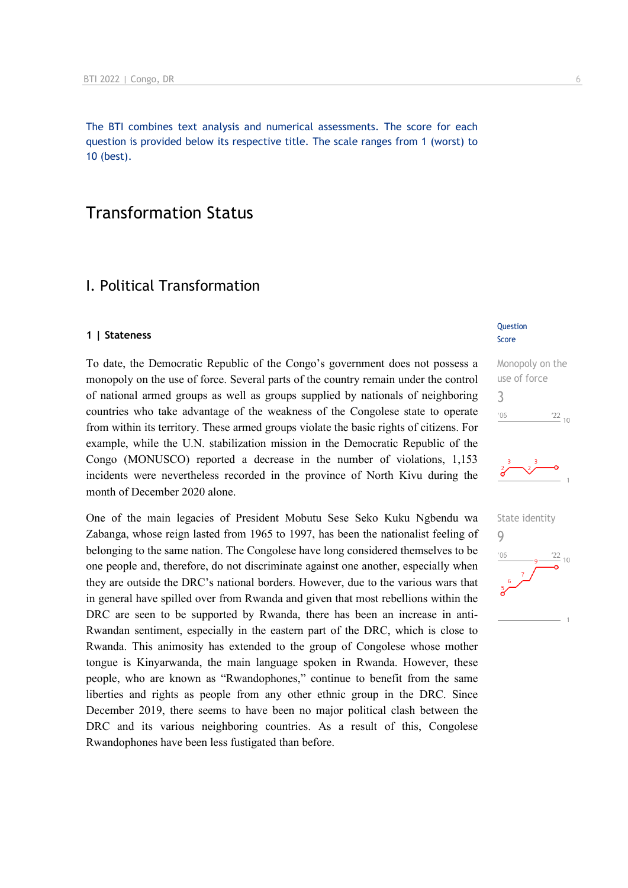The BTI combines text analysis and numerical assessments. The score for each question is provided below its respective title. The scale ranges from 1 (worst) to 10 (best).

## Transformation Status

## I. Political Transformation

#### **1 | Stateness**

To date, the Democratic Republic of the Congo's government does not possess a monopoly on the use of force. Several parts of the country remain under the control of national armed groups as well as groups supplied by nationals of neighboring countries who take advantage of the weakness of the Congolese state to operate from within its territory. These armed groups violate the basic rights of citizens. For example, while the U.N. stabilization mission in the Democratic Republic of the Congo (MONUSCO) reported a decrease in the number of violations, 1,153 incidents were nevertheless recorded in the province of North Kivu during the month of December 2020 alone.

One of the main legacies of President Mobutu Sese Seko Kuku Ngbendu wa Zabanga, whose reign lasted from 1965 to 1997, has been the nationalist feeling of belonging to the same nation. The Congolese have long considered themselves to be one people and, therefore, do not discriminate against one another, especially when they are outside the DRC's national borders. However, due to the various wars that in general have spilled over from Rwanda and given that most rebellions within the DRC are seen to be supported by Rwanda, there has been an increase in anti-Rwandan sentiment, especially in the eastern part of the DRC, which is close to Rwanda. This animosity has extended to the group of Congolese whose mother tongue is Kinyarwanda, the main language spoken in Rwanda. However, these people, who are known as "Rwandophones," continue to benefit from the same liberties and rights as people from any other ethnic group in the DRC. Since December 2019, there seems to have been no major political clash between the DRC and its various neighboring countries. As a result of this, Congolese Rwandophones have been less fustigated than before.

#### **Question** Score

### Monopoly on the use of force 3  $\frac{22}{10}$  $106$



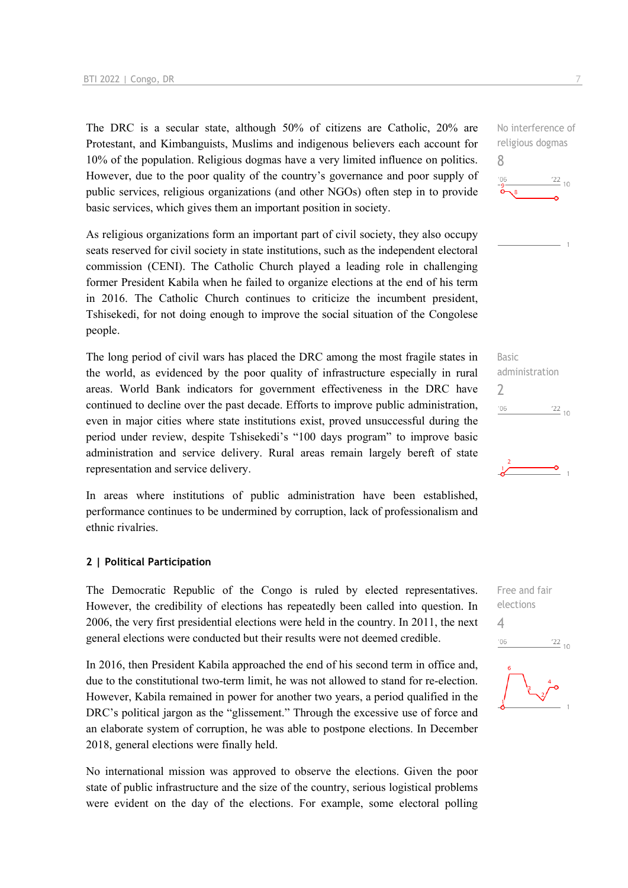The DRC is a secular state, although 50% of citizens are Catholic, 20% are Protestant, and Kimbanguists, Muslims and indigenous believers each account for 10% of the population. Religious dogmas have a very limited influence on politics. However, due to the poor quality of the country's governance and poor supply of public services, religious organizations (and other NGOs) often step in to provide basic services, which gives them an important position in society.

As religious organizations form an important part of civil society, they also occupy seats reserved for civil society in state institutions, such as the independent electoral commission (CENI). The Catholic Church played a leading role in challenging former President Kabila when he failed to organize elections at the end of his term in 2016. The Catholic Church continues to criticize the incumbent president, Tshisekedi, for not doing enough to improve the social situation of the Congolese people.

The long period of civil wars has placed the DRC among the most fragile states in the world, as evidenced by the poor quality of infrastructure especially in rural areas. World Bank indicators for government effectiveness in the DRC have continued to decline over the past decade. Efforts to improve public administration, even in major cities where state institutions exist, proved unsuccessful during the period under review, despite Tshisekedi's "100 days program" to improve basic administration and service delivery. Rural areas remain largely bereft of state representation and service delivery.

In areas where institutions of public administration have been established, performance continues to be undermined by corruption, lack of professionalism and ethnic rivalries.

#### **2 | Political Participation**

The Democratic Republic of the Congo is ruled by elected representatives. However, the credibility of elections has repeatedly been called into question. In 2006, the very first presidential elections were held in the country. In 2011, the next general elections were conducted but their results were not deemed credible.

In 2016, then President Kabila approached the end of his second term in office and, due to the constitutional two-term limit, he was not allowed to stand for re-election. However, Kabila remained in power for another two years, a period qualified in the DRC's political jargon as the "glissement." Through the excessive use of force and an elaborate system of corruption, he was able to postpone elections. In December 2018, general elections were finally held.

No international mission was approved to observe the elections. Given the poor state of public infrastructure and the size of the country, serious logistical problems were evident on the day of the elections. For example, some electoral polling No interference of religious dogmas 8  $\frac{22}{10}$ 





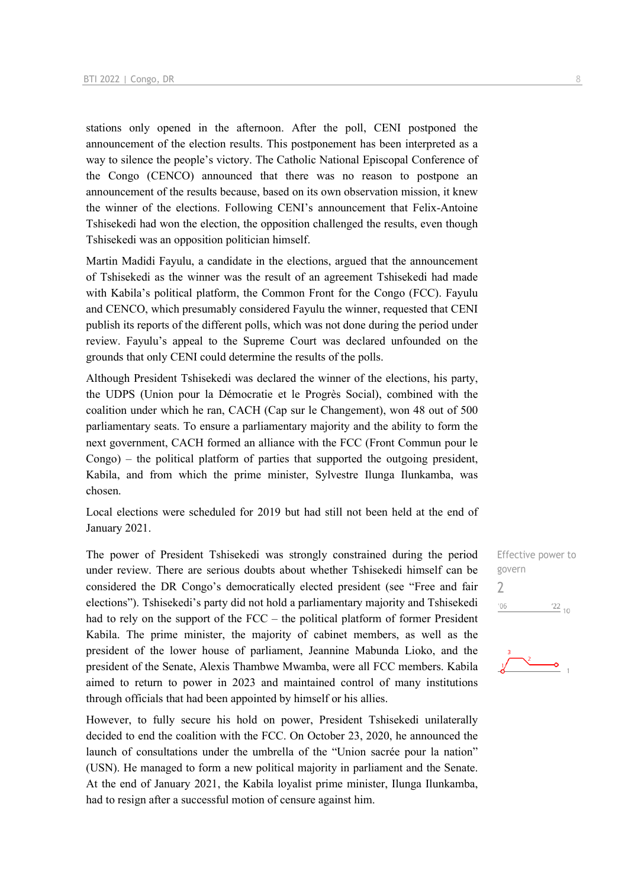stations only opened in the afternoon. After the poll, CENI postponed the announcement of the election results. This postponement has been interpreted as a way to silence the people's victory. The Catholic National Episcopal Conference of the Congo (CENCO) announced that there was no reason to postpone an announcement of the results because, based on its own observation mission, it knew the winner of the elections. Following CENI's announcement that Felix-Antoine Tshisekedi had won the election, the opposition challenged the results, even though Tshisekedi was an opposition politician himself.

Martin Madidi Fayulu, a candidate in the elections, argued that the announcement of Tshisekedi as the winner was the result of an agreement Tshisekedi had made with Kabila's political platform, the Common Front for the Congo (FCC). Fayulu and CENCO, which presumably considered Fayulu the winner, requested that CENI publish its reports of the different polls, which was not done during the period under review. Fayulu's appeal to the Supreme Court was declared unfounded on the grounds that only CENI could determine the results of the polls.

Although President Tshisekedi was declared the winner of the elections, his party, the UDPS (Union pour la Démocratie et le Progrès Social), combined with the coalition under which he ran, CACH (Cap sur le Changement), won 48 out of 500 parliamentary seats. To ensure a parliamentary majority and the ability to form the next government, CACH formed an alliance with the FCC (Front Commun pour le Congo) – the political platform of parties that supported the outgoing president, Kabila, and from which the prime minister, Sylvestre Ilunga Ilunkamba, was chosen.

Local elections were scheduled for 2019 but had still not been held at the end of January 2021.

The power of President Tshisekedi was strongly constrained during the period under review. There are serious doubts about whether Tshisekedi himself can be considered the DR Congo's democratically elected president (see "Free and fair elections"). Tshisekedi's party did not hold a parliamentary majority and Tshisekedi had to rely on the support of the FCC – the political platform of former President Kabila. The prime minister, the majority of cabinet members, as well as the president of the lower house of parliament, Jeannine Mabunda Lioko, and the president of the Senate, Alexis Thambwe Mwamba, were all FCC members. Kabila aimed to return to power in 2023 and maintained control of many institutions through officials that had been appointed by himself or his allies.

However, to fully secure his hold on power, President Tshisekedi unilaterally decided to end the coalition with the FCC. On October 23, 2020, he announced the launch of consultations under the umbrella of the "Union sacrée pour la nation" (USN). He managed to form a new political majority in parliament and the Senate. At the end of January 2021, the Kabila loyalist prime minister, Ilunga Ilunkamba, had to resign after a successful motion of censure against him.

Effective power to govern 2 $'06$  $\frac{22}{10}$ 

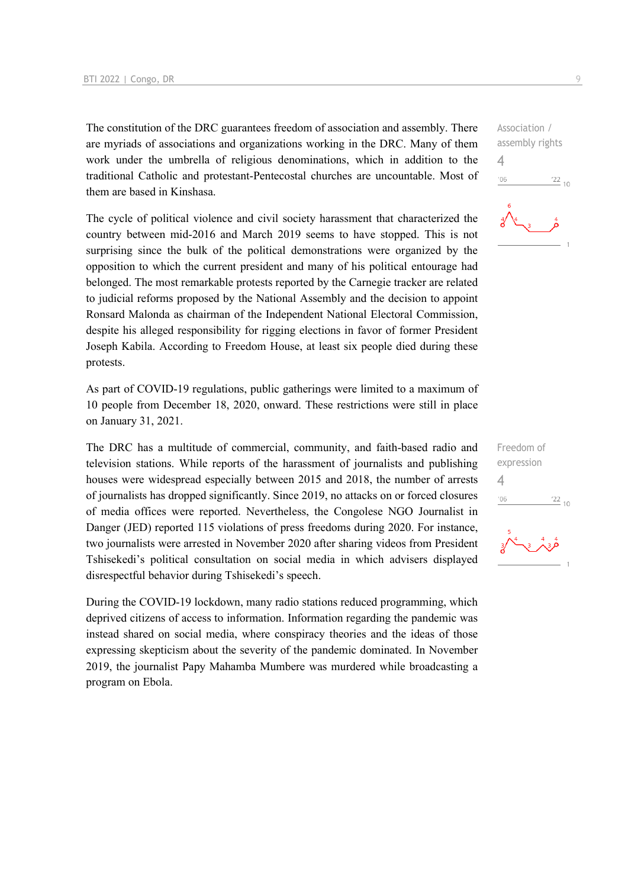The constitution of the DRC guarantees freedom of association and assembly. There are myriads of associations and organizations working in the DRC. Many of them work under the umbrella of religious denominations, which in addition to the traditional Catholic and protestant-Pentecostal churches are uncountable. Most of them are based in Kinshasa.

The cycle of political violence and civil society harassment that characterized the country between mid-2016 and March 2019 seems to have stopped. This is not surprising since the bulk of the political demonstrations were organized by the opposition to which the current president and many of his political entourage had belonged. The most remarkable protests reported by the Carnegie tracker are related to judicial reforms proposed by the National Assembly and the decision to appoint Ronsard Malonda as chairman of the Independent National Electoral Commission, despite his alleged responsibility for rigging elections in favor of former President Joseph Kabila. According to Freedom House, at least six people died during these protests.

As part of COVID-19 regulations, public gatherings were limited to a maximum of 10 people from December 18, 2020, onward. These restrictions were still in place on January 31, 2021.

The DRC has a multitude of commercial, community, and faith-based radio and television stations. While reports of the harassment of journalists and publishing houses were widespread especially between 2015 and 2018, the number of arrests of journalists has dropped significantly. Since 2019, no attacks on or forced closures of media offices were reported. Nevertheless, the Congolese NGO Journalist in Danger (JED) reported 115 violations of press freedoms during 2020. For instance, two journalists were arrested in November 2020 after sharing videos from President Tshisekedi's political consultation on social media in which advisers displayed disrespectful behavior during Tshisekedi's speech.

During the COVID-19 lockdown, many radio stations reduced programming, which deprived citizens of access to information. Information regarding the pandemic was instead shared on social media, where conspiracy theories and the ideas of those expressing skepticism about the severity of the pandemic dominated. In November 2019, the journalist Papy Mahamba Mumbere was murdered while broadcasting a program on Ebola.

Association / assembly rights 4  $-06$  $\frac{22}{10}$ 

Freedom of expression 4 $\frac{22}{10}$  $06'$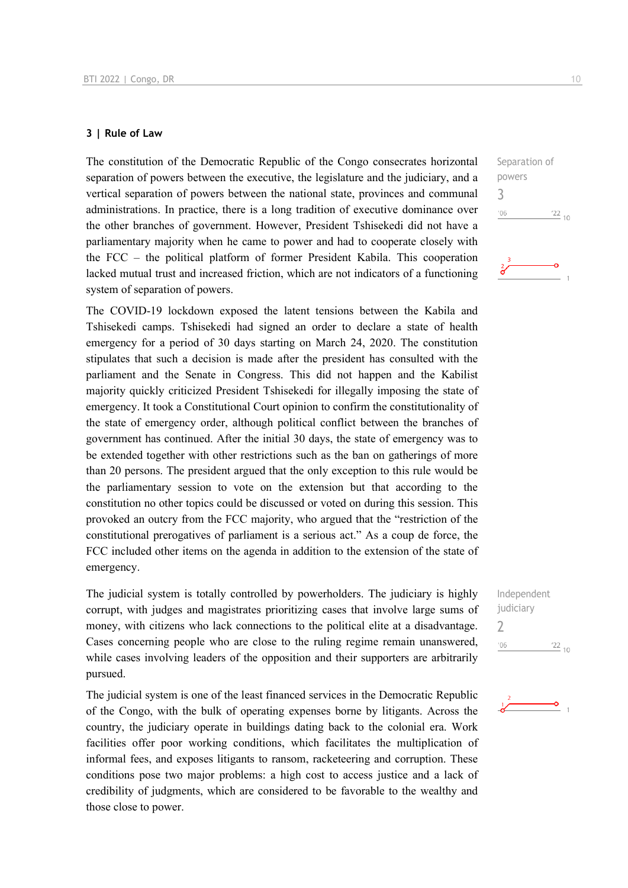#### **3 | Rule of Law**

The constitution of the Democratic Republic of the Congo consecrates horizontal separation of powers between the executive, the legislature and the judiciary, and a vertical separation of powers between the national state, provinces and communal administrations. In practice, there is a long tradition of executive dominance over the other branches of government. However, President Tshisekedi did not have a parliamentary majority when he came to power and had to cooperate closely with the FCC – the political platform of former President Kabila. This cooperation lacked mutual trust and increased friction, which are not indicators of a functioning system of separation of powers.

The COVID-19 lockdown exposed the latent tensions between the Kabila and Tshisekedi camps. Tshisekedi had signed an order to declare a state of health emergency for a period of 30 days starting on March 24, 2020. The constitution stipulates that such a decision is made after the president has consulted with the parliament and the Senate in Congress. This did not happen and the Kabilist majority quickly criticized President Tshisekedi for illegally imposing the state of emergency. It took a Constitutional Court opinion to confirm the constitutionality of the state of emergency order, although political conflict between the branches of government has continued. After the initial 30 days, the state of emergency was to be extended together with other restrictions such as the ban on gatherings of more than 20 persons. The president argued that the only exception to this rule would be the parliamentary session to vote on the extension but that according to the constitution no other topics could be discussed or voted on during this session. This provoked an outcry from the FCC majority, who argued that the "restriction of the constitutional prerogatives of parliament is a serious act." As a coup de force, the FCC included other items on the agenda in addition to the extension of the state of emergency.

The judicial system is totally controlled by powerholders. The judiciary is highly corrupt, with judges and magistrates prioritizing cases that involve large sums of money, with citizens who lack connections to the political elite at a disadvantage. Cases concerning people who are close to the ruling regime remain unanswered, while cases involving leaders of the opposition and their supporters are arbitrarily pursued.

The judicial system is one of the least financed services in the Democratic Republic of the Congo, with the bulk of operating expenses borne by litigants. Across the country, the judiciary operate in buildings dating back to the colonial era. Work facilities offer poor working conditions, which facilitates the multiplication of informal fees, and exposes litigants to ransom, racketeering and corruption. These conditions pose two major problems: a high cost to access justice and a lack of credibility of judgments, which are considered to be favorable to the wealthy and those close to power.

Separation of powers 3  $^{\prime}06$  $\frac{22}{10}$ 

Independent judiciary 2 $-06$  $\frac{22}{10}$ 

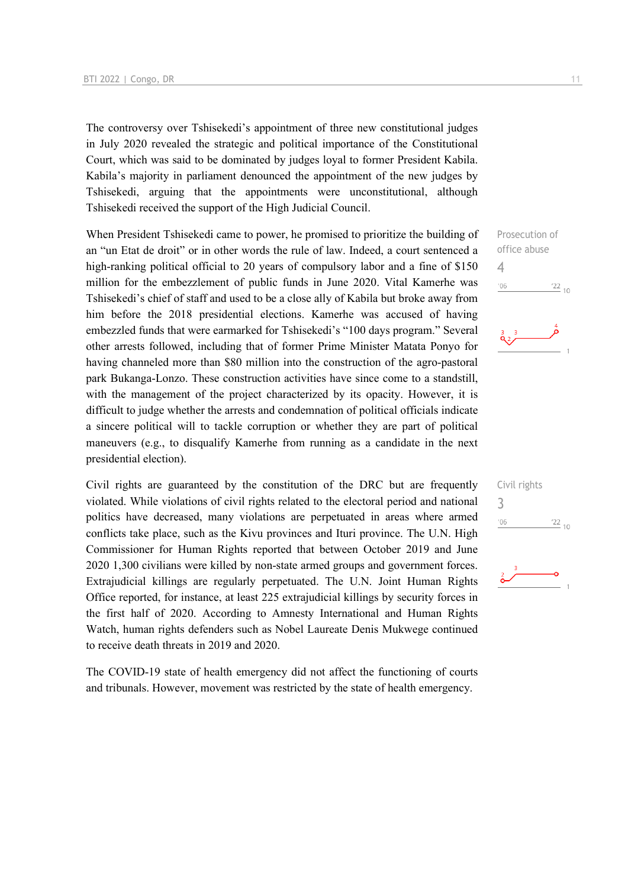The controversy over Tshisekedi's appointment of three new constitutional judges in July 2020 revealed the strategic and political importance of the Constitutional Court, which was said to be dominated by judges loyal to former President Kabila. Kabila's majority in parliament denounced the appointment of the new judges by Tshisekedi, arguing that the appointments were unconstitutional, although Tshisekedi received the support of the High Judicial Council.

When President Tshisekedi came to power, he promised to prioritize the building of an "un Etat de droit" or in other words the rule of law. Indeed, a court sentenced a high-ranking political official to 20 years of compulsory labor and a fine of \$150 million for the embezzlement of public funds in June 2020. Vital Kamerhe was Tshisekedi's chief of staff and used to be a close ally of Kabila but broke away from him before the 2018 presidential elections. Kamerhe was accused of having embezzled funds that were earmarked for Tshisekedi's "100 days program." Several other arrests followed, including that of former Prime Minister Matata Ponyo for having channeled more than \$80 million into the construction of the agro-pastoral park Bukanga-Lonzo. These construction activities have since come to a standstill, with the management of the project characterized by its opacity. However, it is difficult to judge whether the arrests and condemnation of political officials indicate a sincere political will to tackle corruption or whether they are part of political maneuvers (e.g., to disqualify Kamerhe from running as a candidate in the next presidential election).

Civil rights are guaranteed by the constitution of the DRC but are frequently violated. While violations of civil rights related to the electoral period and national politics have decreased, many violations are perpetuated in areas where armed conflicts take place, such as the Kivu provinces and Ituri province. The U.N. High Commissioner for Human Rights reported that between October 2019 and June 2020 1,300 civilians were killed by non-state armed groups and government forces. Extrajudicial killings are regularly perpetuated. The U.N. Joint Human Rights Office reported, for instance, at least 225 extrajudicial killings by security forces in the first half of 2020. According to Amnesty International and Human Rights Watch, human rights defenders such as Nobel Laureate Denis Mukwege continued to receive death threats in 2019 and 2020.

The COVID-19 state of health emergency did not affect the functioning of courts and tribunals. However, movement was restricted by the state of health emergency.



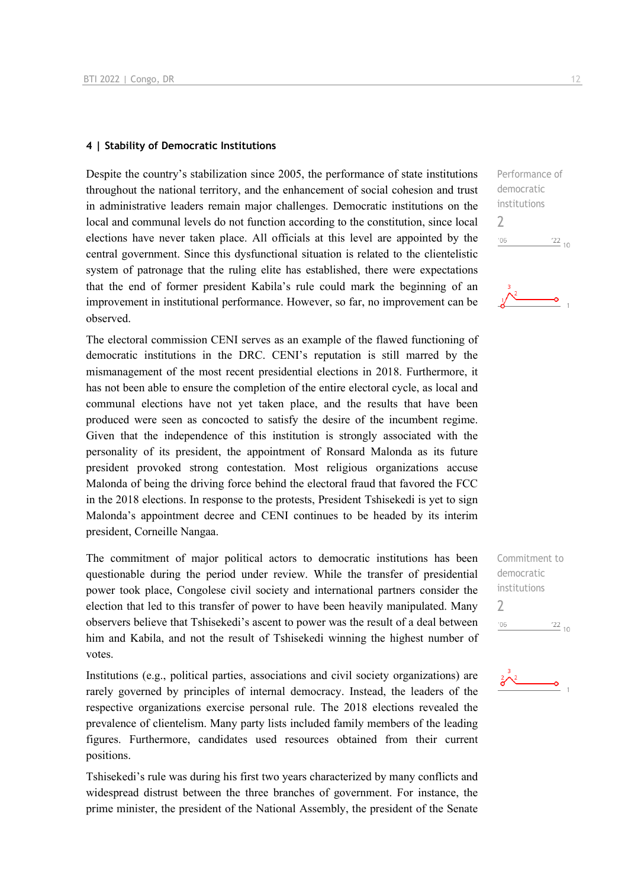#### **4 | Stability of Democratic Institutions**

Despite the country's stabilization since 2005, the performance of state institutions throughout the national territory, and the enhancement of social cohesion and trust in administrative leaders remain major challenges. Democratic institutions on the local and communal levels do not function according to the constitution, since local elections have never taken place. All officials at this level are appointed by the central government. Since this dysfunctional situation is related to the clientelistic system of patronage that the ruling elite has established, there were expectations that the end of former president Kabila's rule could mark the beginning of an improvement in institutional performance. However, so far, no improvement can be observed.

The electoral commission CENI serves as an example of the flawed functioning of democratic institutions in the DRC. CENI's reputation is still marred by the mismanagement of the most recent presidential elections in 2018. Furthermore, it has not been able to ensure the completion of the entire electoral cycle, as local and communal elections have not yet taken place, and the results that have been produced were seen as concocted to satisfy the desire of the incumbent regime. Given that the independence of this institution is strongly associated with the personality of its president, the appointment of Ronsard Malonda as its future president provoked strong contestation. Most religious organizations accuse Malonda of being the driving force behind the electoral fraud that favored the FCC in the 2018 elections. In response to the protests, President Tshisekedi is yet to sign Malonda's appointment decree and CENI continues to be headed by its interim president, Corneille Nangaa.

The commitment of major political actors to democratic institutions has been questionable during the period under review. While the transfer of presidential power took place, Congolese civil society and international partners consider the election that led to this transfer of power to have been heavily manipulated. Many observers believe that Tshisekedi's ascent to power was the result of a deal between him and Kabila, and not the result of Tshisekedi winning the highest number of votes.

Institutions (e.g., political parties, associations and civil society organizations) are rarely governed by principles of internal democracy. Instead, the leaders of the respective organizations exercise personal rule. The 2018 elections revealed the prevalence of clientelism. Many party lists included family members of the leading figures. Furthermore, candidates used resources obtained from their current positions.

Tshisekedi's rule was during his first two years characterized by many conflicts and widespread distrust between the three branches of government. For instance, the prime minister, the president of the National Assembly, the president of the Senate



Commitment to democratic institutions 2 $\frac{22}{10}$  $'06$ 

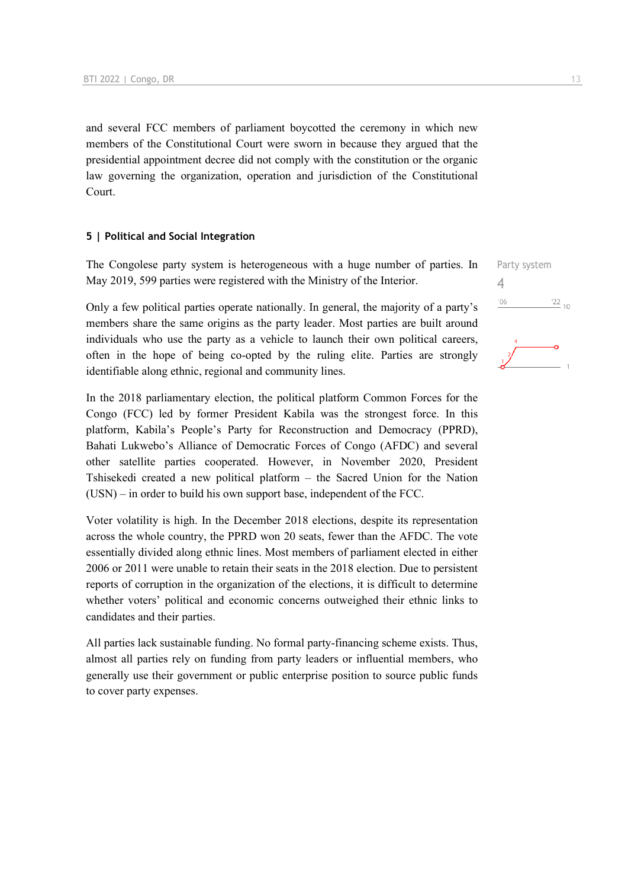and several FCC members of parliament boycotted the ceremony in which new members of the Constitutional Court were sworn in because they argued that the presidential appointment decree did not comply with the constitution or the organic law governing the organization, operation and jurisdiction of the Constitutional Court.

#### **5 | Political and Social Integration**

The Congolese party system is heterogeneous with a huge number of parties. In May 2019, 599 parties were registered with the Ministry of the Interior.

Only a few political parties operate nationally. In general, the majority of a party's members share the same origins as the party leader. Most parties are built around individuals who use the party as a vehicle to launch their own political careers, often in the hope of being co-opted by the ruling elite. Parties are strongly identifiable along ethnic, regional and community lines.

In the 2018 parliamentary election, the political platform Common Forces for the Congo (FCC) led by former President Kabila was the strongest force. In this platform, Kabila's People's Party for Reconstruction and Democracy (PPRD), Bahati Lukwebo's Alliance of Democratic Forces of Congo (AFDC) and several other satellite parties cooperated. However, in November 2020, President Tshisekedi created a new political platform – the Sacred Union for the Nation (USN) – in order to build his own support base, independent of the FCC.

Voter volatility is high. In the December 2018 elections, despite its representation across the whole country, the PPRD won 20 seats, fewer than the AFDC. The vote essentially divided along ethnic lines. Most members of parliament elected in either 2006 or 2011 were unable to retain their seats in the 2018 election. Due to persistent reports of corruption in the organization of the elections, it is difficult to determine whether voters' political and economic concerns outweighed their ethnic links to candidates and their parties.

All parties lack sustainable funding. No formal party-financing scheme exists. Thus, almost all parties rely on funding from party leaders or influential members, who generally use their government or public enterprise position to source public funds to cover party expenses.

| Party system |                 |
|--------------|-----------------|
| 4            |                 |
| '06          | $\frac{22}{10}$ |
|              |                 |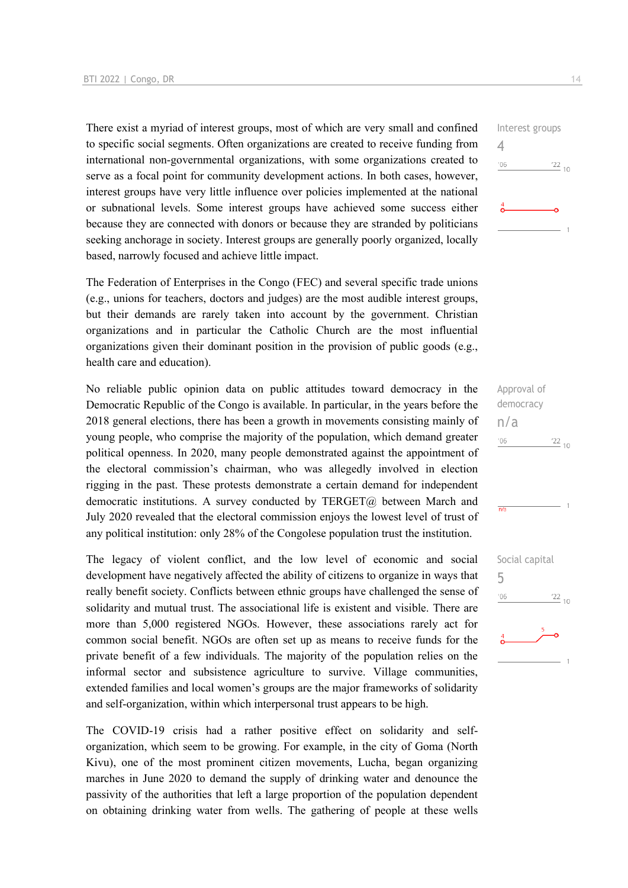There exist a myriad of interest groups, most of which are very small and confined to specific social segments. Often organizations are created to receive funding from international non-governmental organizations, with some organizations created to serve as a focal point for community development actions. In both cases, however, interest groups have very little influence over policies implemented at the national or subnational levels. Some interest groups have achieved some success either because they are connected with donors or because they are stranded by politicians seeking anchorage in society. Interest groups are generally poorly organized, locally based, narrowly focused and achieve little impact.

The Federation of Enterprises in the Congo (FEC) and several specific trade unions (e.g., unions for teachers, doctors and judges) are the most audible interest groups, but their demands are rarely taken into account by the government. Christian organizations and in particular the Catholic Church are the most influential organizations given their dominant position in the provision of public goods (e.g., health care and education).

No reliable public opinion data on public attitudes toward democracy in the Democratic Republic of the Congo is available. In particular, in the years before the 2018 general elections, there has been a growth in movements consisting mainly of young people, who comprise the majority of the population, which demand greater political openness. In 2020, many people demonstrated against the appointment of the electoral commission's chairman, who was allegedly involved in election rigging in the past. These protests demonstrate a certain demand for independent democratic institutions. A survey conducted by TERGET@ between March and July 2020 revealed that the electoral commission enjoys the lowest level of trust of any political institution: only 28% of the Congolese population trust the institution.

The legacy of violent conflict, and the low level of economic and social development have negatively affected the ability of citizens to organize in ways that really benefit society. Conflicts between ethnic groups have challenged the sense of solidarity and mutual trust. The associational life is existent and visible. There are more than 5,000 registered NGOs. However, these associations rarely act for common social benefit. NGOs are often set up as means to receive funds for the private benefit of a few individuals. The majority of the population relies on the informal sector and subsistence agriculture to survive. Village communities, extended families and local women's groups are the major frameworks of solidarity and self-organization, within which interpersonal trust appears to be high.

The COVID-19 crisis had a rather positive effect on solidarity and selforganization, which seem to be growing. For example, in the city of Goma (North Kivu), one of the most prominent citizen movements, Lucha, began organizing marches in June 2020 to demand the supply of drinking water and denounce the passivity of the authorities that left a large proportion of the population dependent on obtaining drinking water from wells. The gathering of people at these wells



Approval of democracy n/a  $\frac{22}{10}$  $'06$ 

 $\overline{m/s}$ 

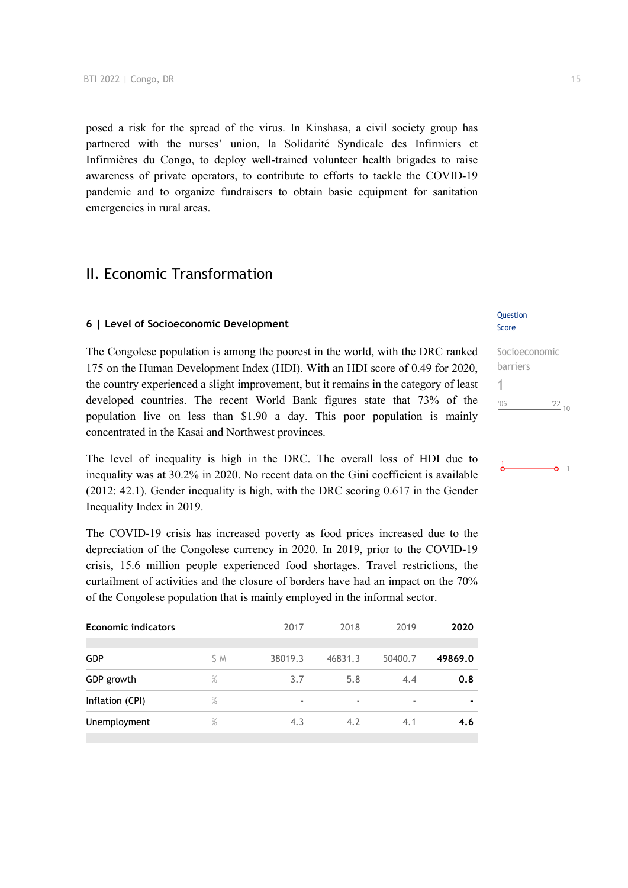posed a risk for the spread of the virus. In Kinshasa, a civil society group has partnered with the nurses' union, la Solidarité Syndicale des Infirmiers et Infirmières du Congo, to deploy well-trained volunteer health brigades to raise awareness of private operators, to contribute to efforts to tackle the COVID-19 pandemic and to organize fundraisers to obtain basic equipment for sanitation emergencies in rural areas.

## II. Economic Transformation

#### **6 | Level of Socioeconomic Development**

The Congolese population is among the poorest in the world, with the DRC ranked 175 on the Human Development Index (HDI). With an HDI score of 0.49 for 2020, the country experienced a slight improvement, but it remains in the category of least developed countries. The recent World Bank figures state that 73% of the population live on less than \$1.90 a day. This poor population is mainly concentrated in the Kasai and Northwest provinces.

The level of inequality is high in the DRC. The overall loss of HDI due to inequality was at 30.2% in 2020. No recent data on the Gini coefficient is available (2012: 42.1). Gender inequality is high, with the DRC scoring 0.617 in the Gender Inequality Index in 2019.

The COVID-19 crisis has increased poverty as food prices increased due to the depreciation of the Congolese currency in 2020. In 2019, prior to the COVID-19 crisis, 15.6 million people experienced food shortages. Travel restrictions, the curtailment of activities and the closure of borders have had an impact on the 70% of the Congolese population that is mainly employed in the informal sector.

| <b>Economic indicators</b> |      | 2017    | 2018    | 2019                     | 2020    |
|----------------------------|------|---------|---------|--------------------------|---------|
| <b>GDP</b>                 | S M  | 38019.3 | 46831.3 | 50400.7                  | 49869.0 |
| GDP growth                 | %    | 3.7     | 5.8     | 4.4                      | 0.8     |
| Inflation (CPI)            | $\%$ | ٠       | ٠       | $\overline{\phantom{a}}$ |         |
| Unemployment               | $\%$ | 4.3     | 4.2     | 4.1                      | 4.6     |
|                            |      |         |         |                          |         |

#### **Question** Score

| Socioeconomic |            |
|---------------|------------|
| barriers      |            |
|               |            |
| '06           | $122_{10}$ |
|               |            |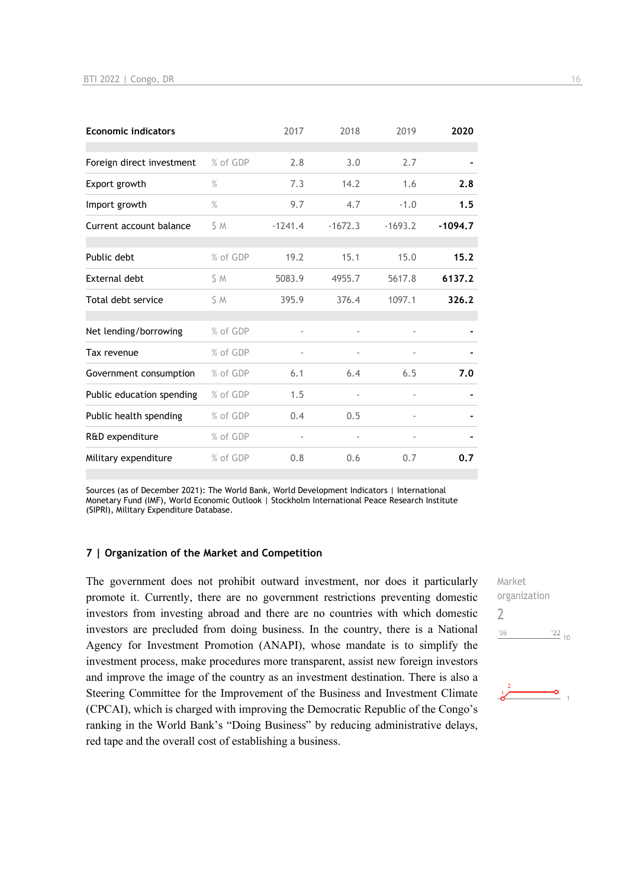| <b>Economic indicators</b> |          | 2017           | 2018      | 2019                     | 2020      |
|----------------------------|----------|----------------|-----------|--------------------------|-----------|
| Foreign direct investment  | % of GDP | 2.8            | 3.0       | 2.7                      |           |
| Export growth              | $\%$     | 7.3            | 14.2      | 1.6                      | 2.8       |
| Import growth              | $\%$     | 9.7            | 4.7       | $-1.0$                   | 1.5       |
| Current account balance    | S M      | $-1241.4$      | $-1672.3$ | $-1693.2$                | $-1094.7$ |
| Public debt                | % of GDP | 19.2           | 15.1      | 15.0                     | 15.2      |
| External debt              | S M      | 5083.9         | 4955.7    | 5617.8                   | 6137.2    |
| Total debt service         | S M      | 395.9          | 376.4     | 1097.1                   | 326.2     |
| Net lending/borrowing      | % of GDP |                |           | $\overline{\phantom{a}}$ |           |
| Tax revenue                | % of GDP |                |           | $\overline{\phantom{0}}$ |           |
| Government consumption     | % of GDP | 6.1            | 6.4       | 6.5                      | 7.0       |
| Public education spending  | % of GDP | 1.5            |           |                          |           |
| Public health spending     | % of GDP | 0.4            | 0.5       | $\overline{\phantom{0}}$ |           |
| R&D expenditure            | % of GDP | $\overline{a}$ |           | $\overline{\phantom{0}}$ |           |
| Military expenditure       | % of GDP | 0.8            | 0.6       | 0.7                      | 0.7       |

Sources (as of December 2021): The World Bank, World Development Indicators | International Monetary Fund (IMF), World Economic Outlook | Stockholm International Peace Research Institute (SIPRI), Military Expenditure Database.

#### **7 | Organization of the Market and Competition**

The government does not prohibit outward investment, nor does it particularly promote it. Currently, there are no government restrictions preventing domestic investors from investing abroad and there are no countries with which domestic investors are precluded from doing business. In the country, there is a National Agency for Investment Promotion (ANAPI), whose mandate is to simplify the investment process, make procedures more transparent, assist new foreign investors and improve the image of the country as an investment destination. There is also a Steering Committee for the Improvement of the Business and Investment Climate (CPCAI), which is charged with improving the Democratic Republic of the Congo's ranking in the World Bank's "Doing Business" by reducing administrative delays, red tape and the overall cost of establishing a business.

Market organization  $\overline{\phantom{0}}$  $'06$  $\frac{22}{10}$ 

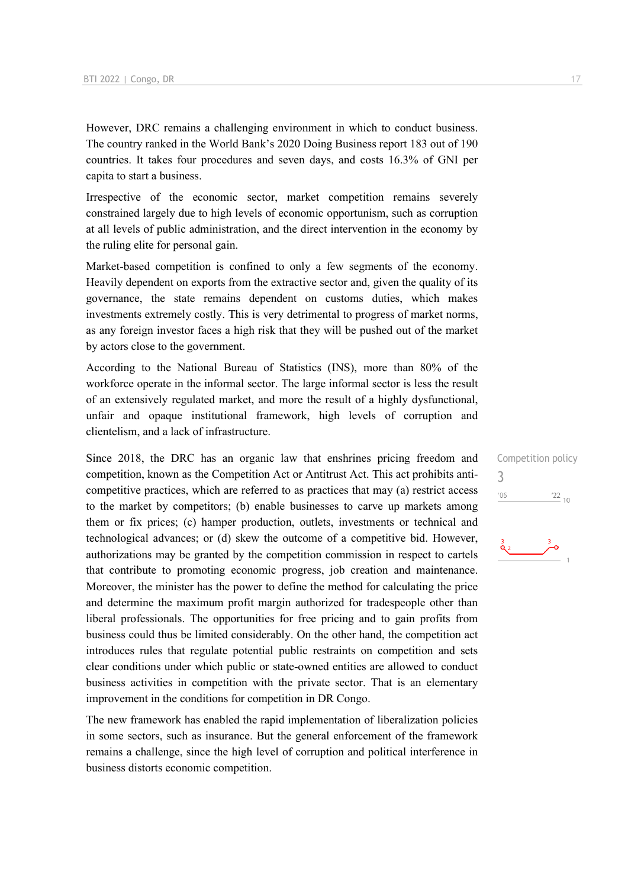However, DRC remains a challenging environment in which to conduct business. The country ranked in the World Bank's 2020 Doing Business report 183 out of 190 countries. It takes four procedures and seven days, and costs 16.3% of GNI per capita to start a business.

Irrespective of the economic sector, market competition remains severely constrained largely due to high levels of economic opportunism, such as corruption at all levels of public administration, and the direct intervention in the economy by the ruling elite for personal gain.

Market-based competition is confined to only a few segments of the economy. Heavily dependent on exports from the extractive sector and, given the quality of its governance, the state remains dependent on customs duties, which makes investments extremely costly. This is very detrimental to progress of market norms, as any foreign investor faces a high risk that they will be pushed out of the market by actors close to the government.

According to the National Bureau of Statistics (INS), more than 80% of the workforce operate in the informal sector. The large informal sector is less the result of an extensively regulated market, and more the result of a highly dysfunctional, unfair and opaque institutional framework, high levels of corruption and clientelism, and a lack of infrastructure.

Since 2018, the DRC has an organic law that enshrines pricing freedom and competition, known as the Competition Act or Antitrust Act. This act prohibits anticompetitive practices, which are referred to as practices that may (a) restrict access to the market by competitors; (b) enable businesses to carve up markets among them or fix prices; (c) hamper production, outlets, investments or technical and technological advances; or (d) skew the outcome of a competitive bid. However, authorizations may be granted by the competition commission in respect to cartels that contribute to promoting economic progress, job creation and maintenance. Moreover, the minister has the power to define the method for calculating the price and determine the maximum profit margin authorized for tradespeople other than liberal professionals. The opportunities for free pricing and to gain profits from business could thus be limited considerably. On the other hand, the competition act introduces rules that regulate potential public restraints on competition and sets clear conditions under which public or state-owned entities are allowed to conduct business activities in competition with the private sector. That is an elementary improvement in the conditions for competition in DR Congo.

The new framework has enabled the rapid implementation of liberalization policies in some sectors, such as insurance. But the general enforcement of the framework remains a challenge, since the high level of corruption and political interference in business distorts economic competition.

Competition policy 3 $'06$  $\frac{22}{10}$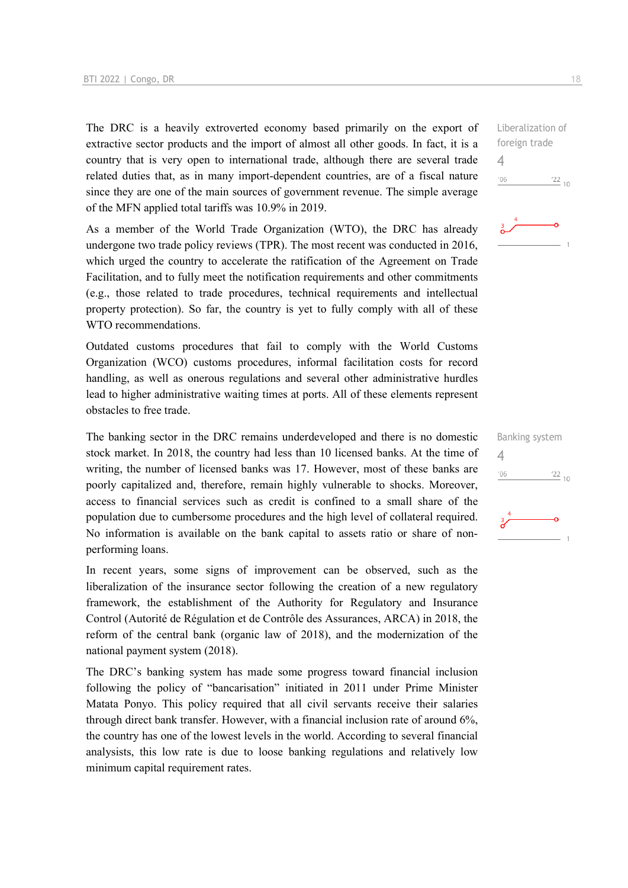The DRC is a heavily extroverted economy based primarily on the export of extractive sector products and the import of almost all other goods. In fact, it is a country that is very open to international trade, although there are several trade related duties that, as in many import-dependent countries, are of a fiscal nature since they are one of the main sources of government revenue. The simple average of the MFN applied total tariffs was 10.9% in 2019.

As a member of the World Trade Organization (WTO), the DRC has already undergone two trade policy reviews (TPR). The most recent was conducted in 2016, which urged the country to accelerate the ratification of the Agreement on Trade Facilitation, and to fully meet the notification requirements and other commitments (e.g., those related to trade procedures, technical requirements and intellectual property protection). So far, the country is yet to fully comply with all of these WTO recommendations.

Outdated customs procedures that fail to comply with the World Customs Organization (WCO) customs procedures, informal facilitation costs for record handling, as well as onerous regulations and several other administrative hurdles lead to higher administrative waiting times at ports. All of these elements represent obstacles to free trade.

The banking sector in the DRC remains underdeveloped and there is no domestic stock market. In 2018, the country had less than 10 licensed banks. At the time of writing, the number of licensed banks was 17. However, most of these banks are poorly capitalized and, therefore, remain highly vulnerable to shocks. Moreover, access to financial services such as credit is confined to a small share of the population due to cumbersome procedures and the high level of collateral required. No information is available on the bank capital to assets ratio or share of nonperforming loans.

In recent years, some signs of improvement can be observed, such as the liberalization of the insurance sector following the creation of a new regulatory framework, the establishment of the Authority for Regulatory and Insurance Control (Autorité de Régulation et de Contrôle des Assurances, ARCA) in 2018, the reform of the central bank (organic law of 2018), and the modernization of the national payment system (2018).

The DRC's banking system has made some progress toward financial inclusion following the policy of "bancarisation" initiated in 2011 under Prime Minister Matata Ponyo. This policy required that all civil servants receive their salaries through direct bank transfer. However, with a financial inclusion rate of around 6%, the country has one of the lowest levels in the world. According to several financial analysists, this low rate is due to loose banking regulations and relatively low minimum capital requirement rates.

Liberalization of foreign trade  $\Delta$  $^{\prime}06$  $\frac{22}{10}$ 



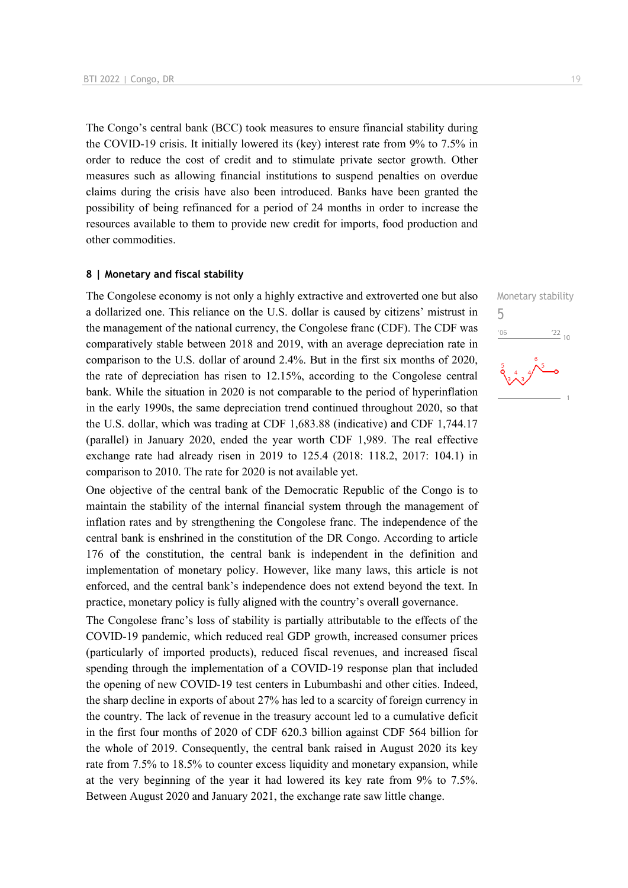The Congo's central bank (BCC) took measures to ensure financial stability during the COVID-19 crisis. It initially lowered its (key) interest rate from 9% to 7.5% in order to reduce the cost of credit and to stimulate private sector growth. Other measures such as allowing financial institutions to suspend penalties on overdue claims during the crisis have also been introduced. Banks have been granted the possibility of being refinanced for a period of 24 months in order to increase the resources available to them to provide new credit for imports, food production and other commodities.

#### **8 | Monetary and fiscal stability**

The Congolese economy is not only a highly extractive and extroverted one but also a dollarized one. This reliance on the U.S. dollar is caused by citizens' mistrust in the management of the national currency, the Congolese franc (CDF). The CDF was comparatively stable between 2018 and 2019, with an average depreciation rate in comparison to the U.S. dollar of around 2.4%. But in the first six months of 2020, the rate of depreciation has risen to 12.15%, according to the Congolese central bank. While the situation in 2020 is not comparable to the period of hyperinflation in the early 1990s, the same depreciation trend continued throughout 2020, so that the U.S. dollar, which was trading at CDF 1,683.88 (indicative) and CDF 1,744.17 (parallel) in January 2020, ended the year worth CDF 1,989. The real effective exchange rate had already risen in 2019 to 125.4 (2018: 118.2, 2017: 104.1) in comparison to 2010. The rate for 2020 is not available yet.

One objective of the central bank of the Democratic Republic of the Congo is to maintain the stability of the internal financial system through the management of inflation rates and by strengthening the Congolese franc. The independence of the central bank is enshrined in the constitution of the DR Congo. According to article 176 of the constitution, the central bank is independent in the definition and implementation of monetary policy. However, like many laws, this article is not enforced, and the central bank's independence does not extend beyond the text. In practice, monetary policy is fully aligned with the country's overall governance.

The Congolese franc's loss of stability is partially attributable to the effects of the COVID-19 pandemic, which reduced real GDP growth, increased consumer prices (particularly of imported products), reduced fiscal revenues, and increased fiscal spending through the implementation of a COVID-19 response plan that included the opening of new COVID-19 test centers in Lubumbashi and other cities. Indeed, the sharp decline in exports of about 27% has led to a scarcity of foreign currency in the country. The lack of revenue in the treasury account led to a cumulative deficit in the first four months of 2020 of CDF 620.3 billion against CDF 564 billion for the whole of 2019. Consequently, the central bank raised in August 2020 its key rate from 7.5% to 18.5% to counter excess liquidity and monetary expansion, while at the very beginning of the year it had lowered its key rate from 9% to 7.5%. Between August 2020 and January 2021, the exchange rate saw little change.

Monetary stability 5 $-06$  $\frac{22}{10}$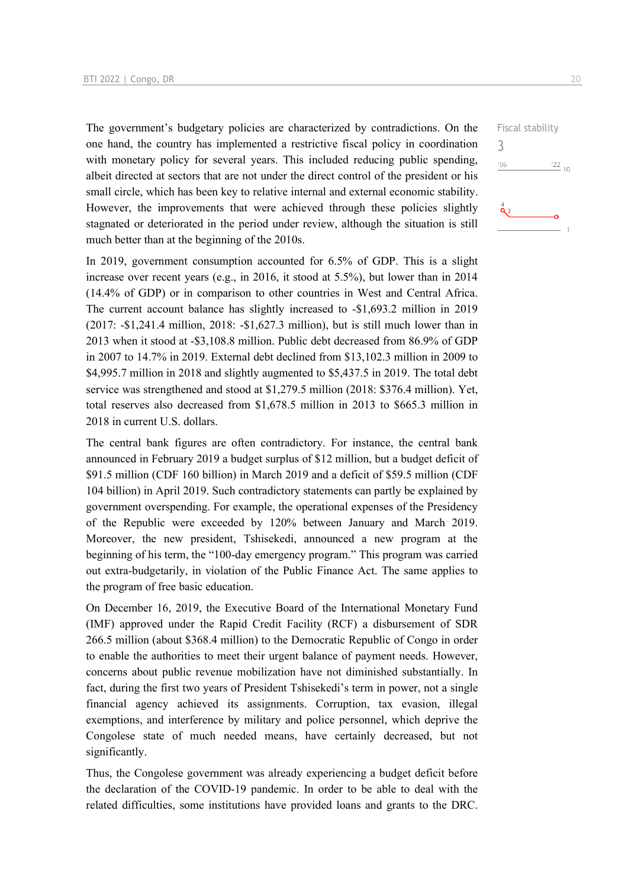The government's budgetary policies are characterized by contradictions. On the one hand, the country has implemented a restrictive fiscal policy in coordination with monetary policy for several years. This included reducing public spending, albeit directed at sectors that are not under the direct control of the president or his small circle, which has been key to relative internal and external economic stability. However, the improvements that were achieved through these policies slightly stagnated or deteriorated in the period under review, although the situation is still much better than at the beginning of the 2010s.

In 2019, government consumption accounted for 6.5% of GDP. This is a slight increase over recent years (e.g., in 2016, it stood at 5.5%), but lower than in 2014 (14.4% of GDP) or in comparison to other countries in West and Central Africa. The current account balance has slightly increased to -\$1,693.2 million in 2019 (2017: -\$1,241.4 million, 2018: -\$1,627.3 million), but is still much lower than in 2013 when it stood at -\$3,108.8 million. Public debt decreased from 86.9% of GDP in 2007 to 14.7% in 2019. External debt declined from \$13,102.3 million in 2009 to \$4,995.7 million in 2018 and slightly augmented to \$5,437.5 in 2019. The total debt service was strengthened and stood at \$1,279.5 million (2018: \$376.4 million). Yet, total reserves also decreased from \$1,678.5 million in 2013 to \$665.3 million in 2018 in current U.S. dollars.

The central bank figures are often contradictory. For instance, the central bank announced in February 2019 a budget surplus of \$12 million, but a budget deficit of \$91.5 million (CDF 160 billion) in March 2019 and a deficit of \$59.5 million (CDF 104 billion) in April 2019. Such contradictory statements can partly be explained by government overspending. For example, the operational expenses of the Presidency of the Republic were exceeded by 120% between January and March 2019. Moreover, the new president, Tshisekedi, announced a new program at the beginning of his term, the "100-day emergency program." This program was carried out extra-budgetarily, in violation of the Public Finance Act. The same applies to the program of free basic education.

On December 16, 2019, the Executive Board of the International Monetary Fund (IMF) approved under the Rapid Credit Facility (RCF) a disbursement of SDR 266.5 million (about \$368.4 million) to the Democratic Republic of Congo in order to enable the authorities to meet their urgent balance of payment needs. However, concerns about public revenue mobilization have not diminished substantially. In fact, during the first two years of President Tshisekedi's term in power, not a single financial agency achieved its assignments. Corruption, tax evasion, illegal exemptions, and interference by military and police personnel, which deprive the Congolese state of much needed means, have certainly decreased, but not significantly.

Thus, the Congolese government was already experiencing a budget deficit before the declaration of the COVID-19 pandemic. In order to be able to deal with the related difficulties, some institutions have provided loans and grants to the DRC.  $\frac{22}{10}$ 

Fiscal stability

3

 $06'$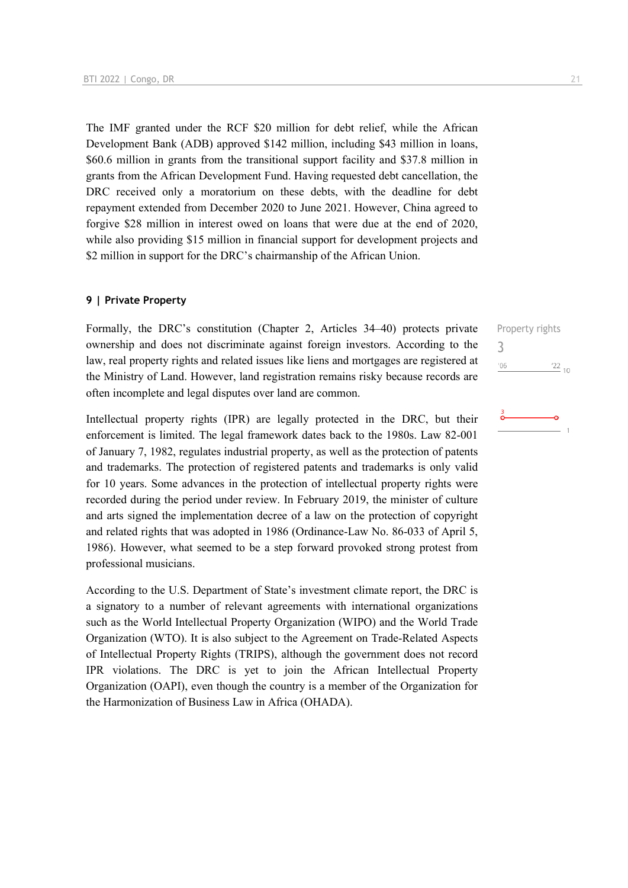The IMF granted under the RCF \$20 million for debt relief, while the African Development Bank (ADB) approved \$142 million, including \$43 million in loans, \$60.6 million in grants from the transitional support facility and \$37.8 million in grants from the African Development Fund. Having requested debt cancellation, the DRC received only a moratorium on these debts, with the deadline for debt repayment extended from December 2020 to June 2021. However, China agreed to forgive \$28 million in interest owed on loans that were due at the end of 2020, while also providing \$15 million in financial support for development projects and \$2 million in support for the DRC's chairmanship of the African Union.

#### **9 | Private Property**

Formally, the DRC's constitution (Chapter 2, Articles 34–40) protects private ownership and does not discriminate against foreign investors. According to the law, real property rights and related issues like liens and mortgages are registered at the Ministry of Land. However, land registration remains risky because records are often incomplete and legal disputes over land are common.

Intellectual property rights (IPR) are legally protected in the DRC, but their enforcement is limited. The legal framework dates back to the 1980s. Law 82-001 of January 7, 1982, regulates industrial property, as well as the protection of patents and trademarks. The protection of registered patents and trademarks is only valid for 10 years. Some advances in the protection of intellectual property rights were recorded during the period under review. In February 2019, the minister of culture and arts signed the implementation decree of a law on the protection of copyright and related rights that was adopted in 1986 (Ordinance-Law No. 86-033 of April 5, 1986). However, what seemed to be a step forward provoked strong protest from professional musicians.

According to the U.S. Department of State's investment climate report, the DRC is a signatory to a number of relevant agreements with international organizations such as the World Intellectual Property Organization (WIPO) and the World Trade Organization (WTO). It is also subject to the Agreement on Trade-Related Aspects of Intellectual Property Rights (TRIPS), although the government does not record IPR violations. The DRC is yet to join the African Intellectual Property Organization (OAPI), even though the country is a member of the Organization for the Harmonization of Business Law in Africa (OHADA).

Property rights 3 $06'$  $\frac{22}{10}$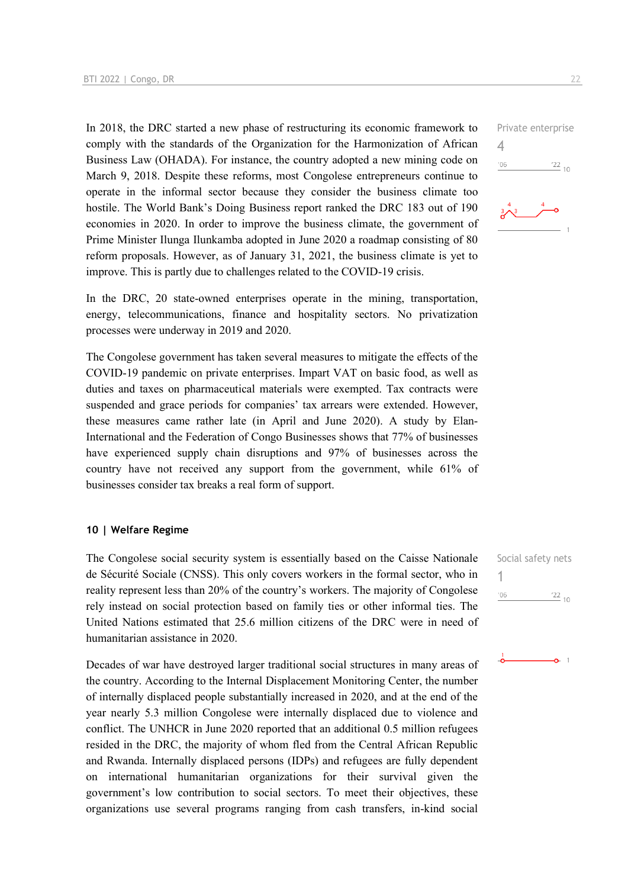In 2018, the DRC started a new phase of restructuring its economic framework to comply with the standards of the Organization for the Harmonization of African Business Law (OHADA). For instance, the country adopted a new mining code on March 9, 2018. Despite these reforms, most Congolese entrepreneurs continue to operate in the informal sector because they consider the business climate too hostile. The World Bank's Doing Business report ranked the DRC 183 out of 190 economies in 2020. In order to improve the business climate, the government of Prime Minister Ilunga Ilunkamba adopted in June 2020 a roadmap consisting of 80 reform proposals. However, as of January 31, 2021, the business climate is yet to improve. This is partly due to challenges related to the COVID-19 crisis.

In the DRC, 20 state-owned enterprises operate in the mining, transportation, energy, telecommunications, finance and hospitality sectors. No privatization processes were underway in 2019 and 2020.

The Congolese government has taken several measures to mitigate the effects of the COVID-19 pandemic on private enterprises. Impart VAT on basic food, as well as duties and taxes on pharmaceutical materials were exempted. Tax contracts were suspended and grace periods for companies' tax arrears were extended. However, these measures came rather late (in April and June 2020). A study by Elan-International and the Federation of Congo Businesses shows that 77% of businesses have experienced supply chain disruptions and 97% of businesses across the country have not received any support from the government, while 61% of businesses consider tax breaks a real form of support.

#### **10 | Welfare Regime**

The Congolese social security system is essentially based on the Caisse Nationale de Sécurité Sociale (CNSS). This only covers workers in the formal sector, who in reality represent less than 20% of the country's workers. The majority of Congolese rely instead on social protection based on family ties or other informal ties. The United Nations estimated that 25.6 million citizens of the DRC were in need of humanitarian assistance in 2020.

Decades of war have destroyed larger traditional social structures in many areas of the country. According to the Internal Displacement Monitoring Center, the number of internally displaced people substantially increased in 2020, and at the end of the year nearly 5.3 million Congolese were internally displaced due to violence and conflict. The UNHCR in June 2020 reported that an additional 0.5 million refugees resided in the DRC, the majority of whom fled from the Central African Republic and Rwanda. Internally displaced persons (IDPs) and refugees are fully dependent on international humanitarian organizations for their survival given the government's low contribution to social sectors. To meet their objectives, these organizations use several programs ranging from cash transfers, in-kind social

Social safety nets 1 $'06$  $\frac{22}{10}$ 



Private enterprise

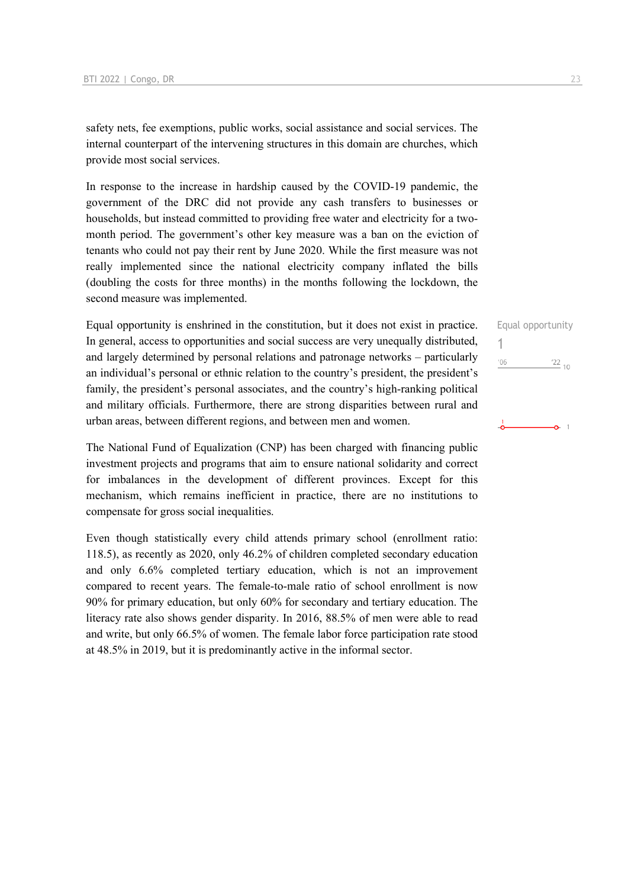safety nets, fee exemptions, public works, social assistance and social services. The internal counterpart of the intervening structures in this domain are churches, which provide most social services.

In response to the increase in hardship caused by the COVID-19 pandemic, the government of the DRC did not provide any cash transfers to businesses or households, but instead committed to providing free water and electricity for a twomonth period. The government's other key measure was a ban on the eviction of tenants who could not pay their rent by June 2020. While the first measure was not really implemented since the national electricity company inflated the bills (doubling the costs for three months) in the months following the lockdown, the second measure was implemented.

Equal opportunity is enshrined in the constitution, but it does not exist in practice. In general, access to opportunities and social success are very unequally distributed, and largely determined by personal relations and patronage networks – particularly an individual's personal or ethnic relation to the country's president, the president's family, the president's personal associates, and the country's high-ranking political and military officials. Furthermore, there are strong disparities between rural and urban areas, between different regions, and between men and women.

The National Fund of Equalization (CNP) has been charged with financing public investment projects and programs that aim to ensure national solidarity and correct for imbalances in the development of different provinces. Except for this mechanism, which remains inefficient in practice, there are no institutions to compensate for gross social inequalities.

Even though statistically every child attends primary school (enrollment ratio: 118.5), as recently as 2020, only 46.2% of children completed secondary education and only 6.6% completed tertiary education, which is not an improvement compared to recent years. The female-to-male ratio of school enrollment is now 90% for primary education, but only 60% for secondary and tertiary education. The literacy rate also shows gender disparity. In 2016, 88.5% of men were able to read and write, but only 66.5% of women. The female labor force participation rate stood at 48.5% in 2019, but it is predominantly active in the informal sector.

Equal opportunity 1 $\frac{22}{10}$  $'06$ Ō.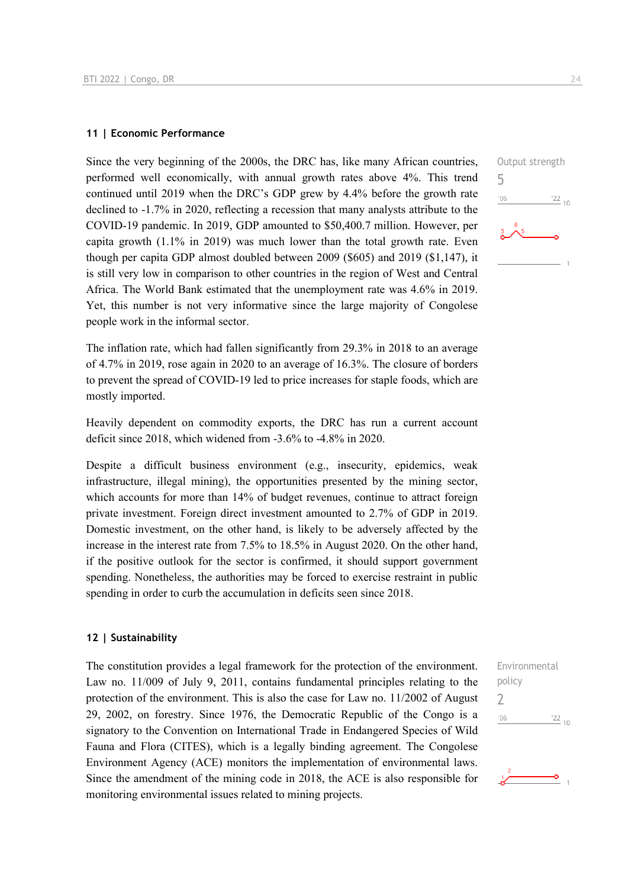#### **11 | Economic Performance**

Since the very beginning of the 2000s, the DRC has, like many African countries, performed well economically, with annual growth rates above 4%. This trend continued until 2019 when the DRC's GDP grew by 4.4% before the growth rate declined to -1.7% in 2020, reflecting a recession that many analysts attribute to the COVID-19 pandemic. In 2019, GDP amounted to \$50,400.7 million. However, per capita growth (1.1% in 2019) was much lower than the total growth rate. Even though per capita GDP almost doubled between 2009 (\$605) and 2019 (\$1,147), it is still very low in comparison to other countries in the region of West and Central Africa. The World Bank estimated that the unemployment rate was 4.6% in 2019. Yet, this number is not very informative since the large majority of Congolese people work in the informal sector.

The inflation rate, which had fallen significantly from 29.3% in 2018 to an average of 4.7% in 2019, rose again in 2020 to an average of 16.3%. The closure of borders to prevent the spread of COVID-19 led to price increases for staple foods, which are mostly imported.

Heavily dependent on commodity exports, the DRC has run a current account deficit since 2018, which widened from -3.6% to -4.8% in 2020.

Despite a difficult business environment (e.g., insecurity, epidemics, weak infrastructure, illegal mining), the opportunities presented by the mining sector, which accounts for more than 14% of budget revenues, continue to attract foreign private investment. Foreign direct investment amounted to 2.7% of GDP in 2019. Domestic investment, on the other hand, is likely to be adversely affected by the increase in the interest rate from 7.5% to 18.5% in August 2020. On the other hand, if the positive outlook for the sector is confirmed, it should support government spending. Nonetheless, the authorities may be forced to exercise restraint in public spending in order to curb the accumulation in deficits seen since 2018.

#### **12 | Sustainability**

The constitution provides a legal framework for the protection of the environment. Law no. 11/009 of July 9, 2011, contains fundamental principles relating to the protection of the environment. This is also the case for Law no. 11/2002 of August 29, 2002, on forestry. Since 1976, the Democratic Republic of the Congo is a signatory to the Convention on International Trade in Endangered Species of Wild Fauna and Flora (CITES), which is a legally binding agreement. The Congolese Environment Agency (ACE) monitors the implementation of environmental laws. Since the amendment of the mining code in 2018, the ACE is also responsible for monitoring environmental issues related to mining projects.





ò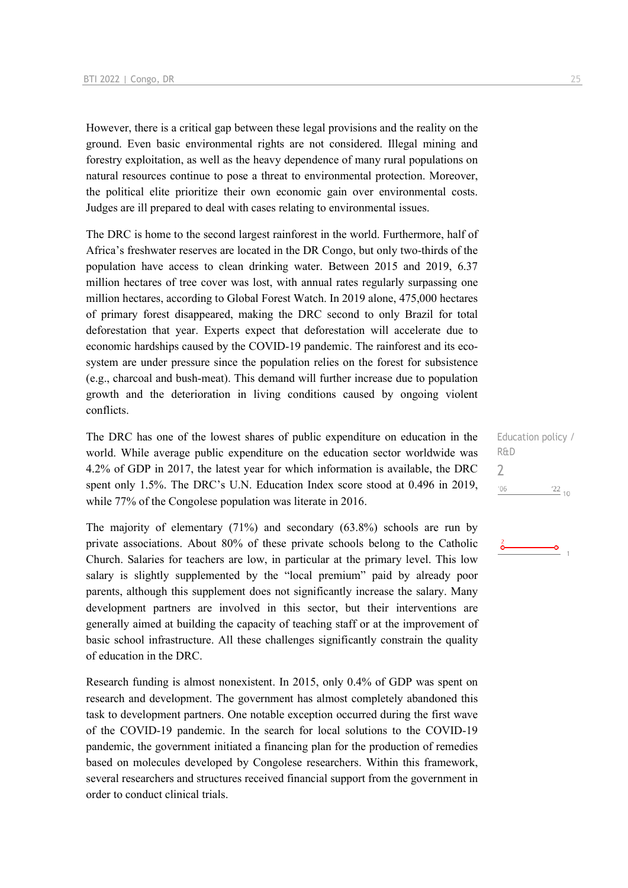However, there is a critical gap between these legal provisions and the reality on the ground. Even basic environmental rights are not considered. Illegal mining and forestry exploitation, as well as the heavy dependence of many rural populations on natural resources continue to pose a threat to environmental protection. Moreover, the political elite prioritize their own economic gain over environmental costs. Judges are ill prepared to deal with cases relating to environmental issues.

The DRC is home to the second largest rainforest in the world. Furthermore, half of Africa's freshwater reserves are located in the DR Congo, but only two-thirds of the population have access to clean drinking water. Between 2015 and 2019, 6.37 million hectares of tree cover was lost, with annual rates regularly surpassing one million hectares, according to Global Forest Watch. In 2019 alone, 475,000 hectares of primary forest disappeared, making the DRC second to only Brazil for total deforestation that year. Experts expect that deforestation will accelerate due to economic hardships caused by the COVID-19 pandemic. The rainforest and its ecosystem are under pressure since the population relies on the forest for subsistence (e.g., charcoal and bush-meat). This demand will further increase due to population growth and the deterioration in living conditions caused by ongoing violent conflicts.

The DRC has one of the lowest shares of public expenditure on education in the world. While average public expenditure on the education sector worldwide was 4.2% of GDP in 2017, the latest year for which information is available, the DRC spent only 1.5%. The DRC's U.N. Education Index score stood at 0.496 in 2019, while 77% of the Congolese population was literate in 2016.

The majority of elementary (71%) and secondary (63.8%) schools are run by private associations. About 80% of these private schools belong to the Catholic Church. Salaries for teachers are low, in particular at the primary level. This low salary is slightly supplemented by the "local premium" paid by already poor parents, although this supplement does not significantly increase the salary. Many development partners are involved in this sector, but their interventions are generally aimed at building the capacity of teaching staff or at the improvement of basic school infrastructure. All these challenges significantly constrain the quality of education in the DRC.

Research funding is almost nonexistent. In 2015, only 0.4% of GDP was spent on research and development. The government has almost completely abandoned this task to development partners. One notable exception occurred during the first wave of the COVID-19 pandemic. In the search for local solutions to the COVID-19 pandemic, the government initiated a financing plan for the production of remedies based on molecules developed by Congolese researchers. Within this framework, several researchers and structures received financial support from the government in order to conduct clinical trials.

Education policy / R&D  $\overline{\phantom{0}}$  $'06$  $\frac{22}{10}$ 

ö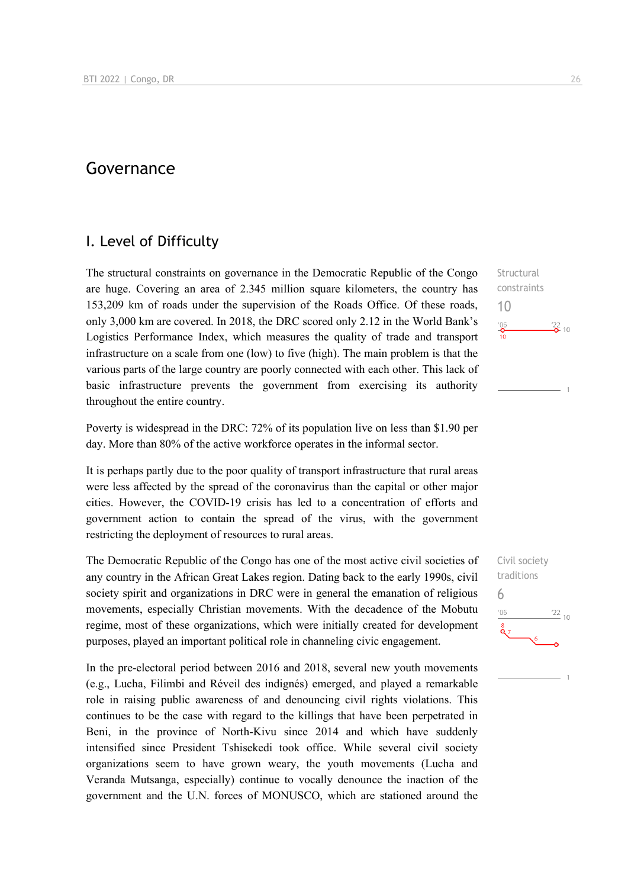## Governance

## I. Level of Difficulty

The structural constraints on governance in the Democratic Republic of the Congo are huge. Covering an area of 2.345 million square kilometers, the country has 153,209 km of roads under the supervision of the Roads Office. Of these roads, only 3,000 km are covered. In 2018, the DRC scored only 2.12 in the World Bank's Logistics Performance Index, which measures the quality of trade and transport infrastructure on a scale from one (low) to five (high). The main problem is that the various parts of the large country are poorly connected with each other. This lack of basic infrastructure prevents the government from exercising its authority throughout the entire country.

Poverty is widespread in the DRC: 72% of its population live on less than \$1.90 per day. More than 80% of the active workforce operates in the informal sector.

It is perhaps partly due to the poor quality of transport infrastructure that rural areas were less affected by the spread of the coronavirus than the capital or other major cities. However, the COVID-19 crisis has led to a concentration of efforts and government action to contain the spread of the virus, with the government restricting the deployment of resources to rural areas.

The Democratic Republic of the Congo has one of the most active civil societies of any country in the African Great Lakes region. Dating back to the early 1990s, civil society spirit and organizations in DRC were in general the emanation of religious movements, especially Christian movements. With the decadence of the Mobutu regime, most of these organizations, which were initially created for development purposes, played an important political role in channeling civic engagement.

In the pre-electoral period between 2016 and 2018, several new youth movements (e.g., Lucha, Filimbi and Réveil des indignés) emerged, and played a remarkable role in raising public awareness of and denouncing civil rights violations. This continues to be the case with regard to the killings that have been perpetrated in Beni, in the province of North-Kivu since 2014 and which have suddenly intensified since President Tshisekedi took office. While several civil society organizations seem to have grown weary, the youth movements (Lucha and Veranda Mutsanga, especially) continue to vocally denounce the inaction of the government and the U.N. forces of MONUSCO, which are stationed around the

**Structural** constraints 10  $\frac{106}{10}$  $\frac{22}{2}$  10

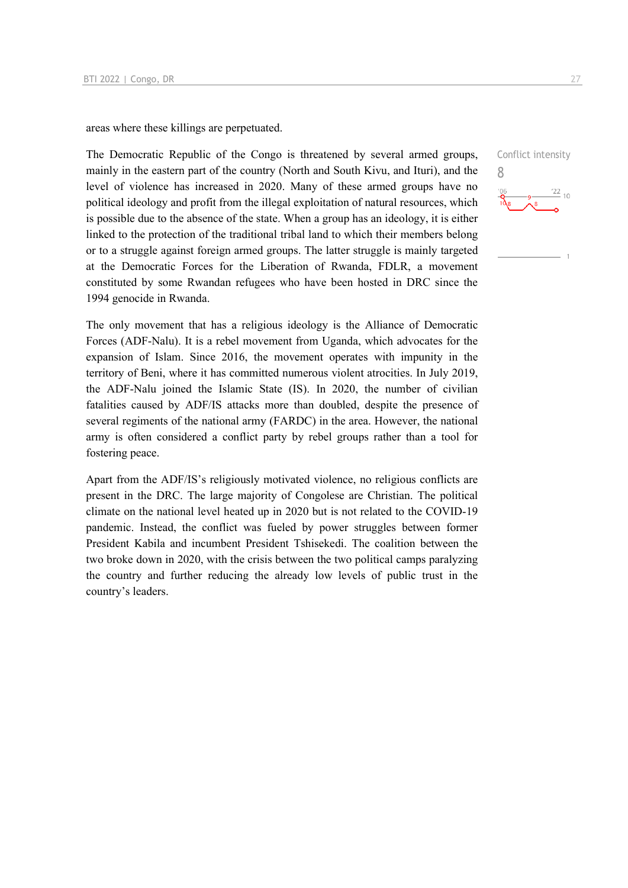areas where these killings are perpetuated.

The Democratic Republic of the Congo is threatened by several armed groups, mainly in the eastern part of the country (North and South Kivu, and Ituri), and the level of violence has increased in 2020. Many of these armed groups have no political ideology and profit from the illegal exploitation of natural resources, which is possible due to the absence of the state. When a group has an ideology, it is either linked to the protection of the traditional tribal land to which their members belong or to a struggle against foreign armed groups. The latter struggle is mainly targeted at the Democratic Forces for the Liberation of Rwanda, FDLR, a movement constituted by some Rwandan refugees who have been hosted in DRC since the 1994 genocide in Rwanda.

The only movement that has a religious ideology is the Alliance of Democratic Forces (ADF-Nalu). It is a rebel movement from Uganda, which advocates for the expansion of Islam. Since 2016, the movement operates with impunity in the territory of Beni, where it has committed numerous violent atrocities. In July 2019, the ADF-Nalu joined the Islamic State (IS). In 2020, the number of civilian fatalities caused by ADF/IS attacks more than doubled, despite the presence of several regiments of the national army (FARDC) in the area. However, the national army is often considered a conflict party by rebel groups rather than a tool for fostering peace.

Apart from the ADF/IS's religiously motivated violence, no religious conflicts are present in the DRC. The large majority of Congolese are Christian. The political climate on the national level heated up in 2020 but is not related to the COVID-19 pandemic. Instead, the conflict was fueled by power struggles between former President Kabila and incumbent President Tshisekedi. The coalition between the two broke down in 2020, with the crisis between the two political camps paralyzing the country and further reducing the already low levels of public trust in the country's leaders.

Conflict intensity 8 $\frac{22}{10}$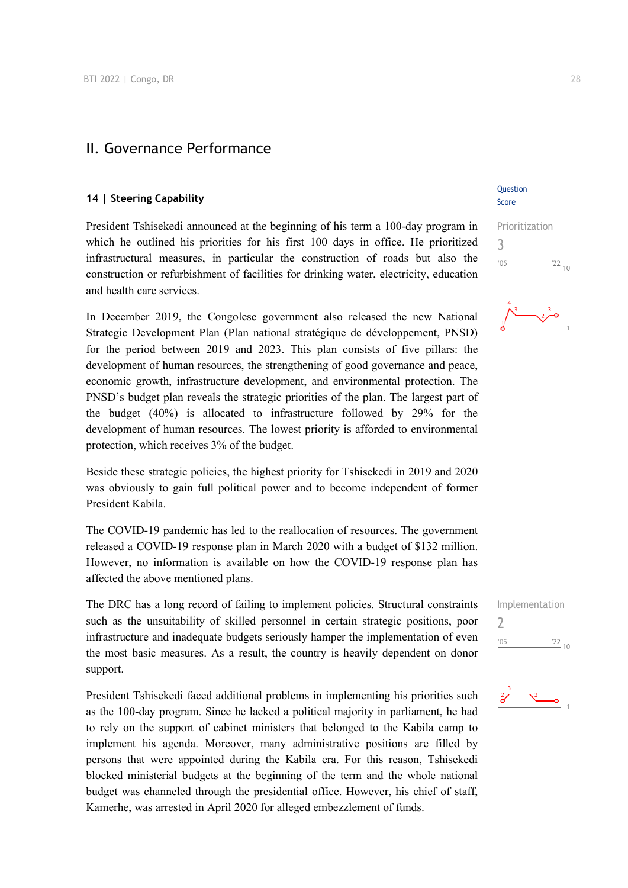## II. Governance Performance

#### **14 | Steering Capability**

President Tshisekedi announced at the beginning of his term a 100-day program in which he outlined his priorities for his first 100 days in office. He prioritized infrastructural measures, in particular the construction of roads but also the construction or refurbishment of facilities for drinking water, electricity, education and health care services.

In December 2019, the Congolese government also released the new National Strategic Development Plan (Plan national stratégique de développement, PNSD) for the period between 2019 and 2023. This plan consists of five pillars: the development of human resources, the strengthening of good governance and peace, economic growth, infrastructure development, and environmental protection. The PNSD's budget plan reveals the strategic priorities of the plan. The largest part of the budget (40%) is allocated to infrastructure followed by 29% for the development of human resources. The lowest priority is afforded to environmental protection, which receives 3% of the budget.

Beside these strategic policies, the highest priority for Tshisekedi in 2019 and 2020 was obviously to gain full political power and to become independent of former President Kabila.

The COVID-19 pandemic has led to the reallocation of resources. The government released a COVID-19 response plan in March 2020 with a budget of \$132 million. However, no information is available on how the COVID-19 response plan has affected the above mentioned plans.

The DRC has a long record of failing to implement policies. Structural constraints such as the unsuitability of skilled personnel in certain strategic positions, poor infrastructure and inadequate budgets seriously hamper the implementation of even the most basic measures. As a result, the country is heavily dependent on donor support.

President Tshisekedi faced additional problems in implementing his priorities such as the 100-day program. Since he lacked a political majority in parliament, he had to rely on the support of cabinet ministers that belonged to the Kabila camp to implement his agenda. Moreover, many administrative positions are filled by persons that were appointed during the Kabila era. For this reason, Tshisekedi blocked ministerial budgets at the beginning of the term and the whole national budget was channeled through the presidential office. However, his chief of staff, Kamerhe, was arrested in April 2020 for alleged embezzlement of funds.

Question Score

Prioritization 3  $\frac{22}{10}$  $-06$ 



Implementation 2 $'06$  $\frac{22}{10}$ 

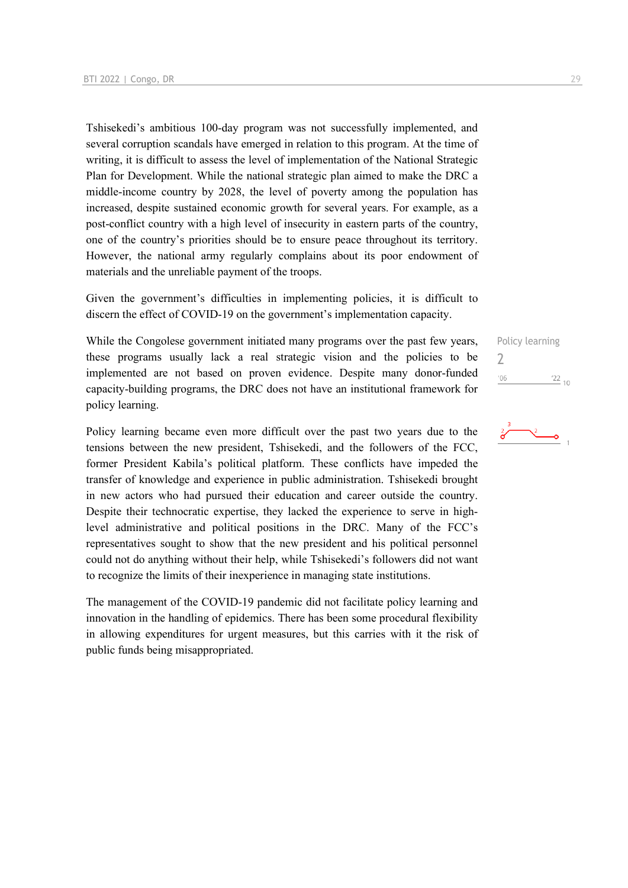Tshisekedi's ambitious 100-day program was not successfully implemented, and several corruption scandals have emerged in relation to this program. At the time of writing, it is difficult to assess the level of implementation of the National Strategic Plan for Development. While the national strategic plan aimed to make the DRC a middle-income country by 2028, the level of poverty among the population has increased, despite sustained economic growth for several years. For example, as a post-conflict country with a high level of insecurity in eastern parts of the country, one of the country's priorities should be to ensure peace throughout its territory. However, the national army regularly complains about its poor endowment of materials and the unreliable payment of the troops.

Given the government's difficulties in implementing policies, it is difficult to discern the effect of COVID-19 on the government's implementation capacity.

While the Congolese government initiated many programs over the past few years, these programs usually lack a real strategic vision and the policies to be implemented are not based on proven evidence. Despite many donor-funded capacity-building programs, the DRC does not have an institutional framework for policy learning.

Policy learning became even more difficult over the past two years due to the tensions between the new president, Tshisekedi, and the followers of the FCC, former President Kabila's political platform. These conflicts have impeded the transfer of knowledge and experience in public administration. Tshisekedi brought in new actors who had pursued their education and career outside the country. Despite their technocratic expertise, they lacked the experience to serve in highlevel administrative and political positions in the DRC. Many of the FCC's representatives sought to show that the new president and his political personnel could not do anything without their help, while Tshisekedi's followers did not want to recognize the limits of their inexperience in managing state institutions.

The management of the COVID-19 pandemic did not facilitate policy learning and innovation in the handling of epidemics. There has been some procedural flexibility in allowing expenditures for urgent measures, but this carries with it the risk of public funds being misappropriated.

Policy learning 2 $^{\prime}06$  $122_{10}$ 

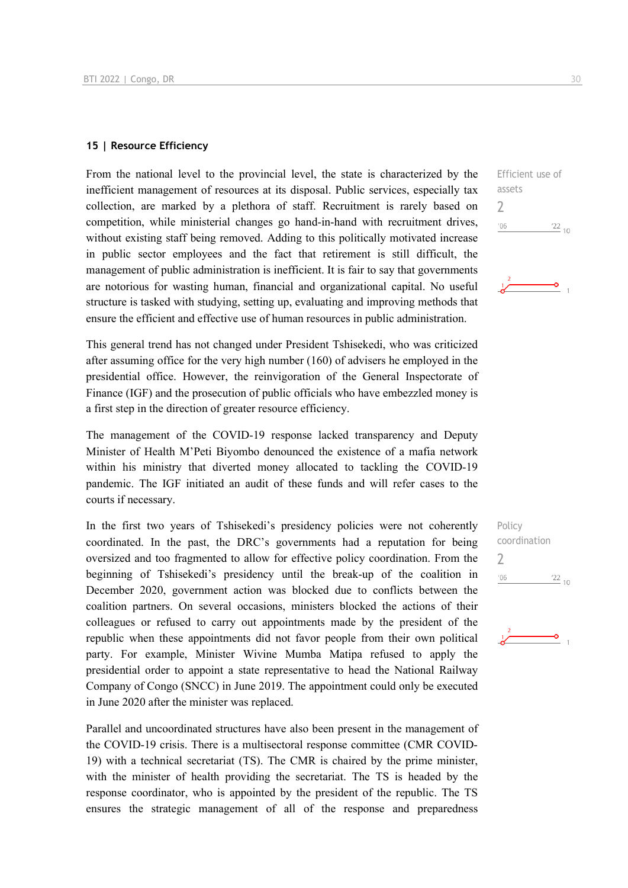#### **15 | Resource Efficiency**

From the national level to the provincial level, the state is characterized by the inefficient management of resources at its disposal. Public services, especially tax collection, are marked by a plethora of staff. Recruitment is rarely based on competition, while ministerial changes go hand-in-hand with recruitment drives, without existing staff being removed. Adding to this politically motivated increase in public sector employees and the fact that retirement is still difficult, the management of public administration is inefficient. It is fair to say that governments are notorious for wasting human, financial and organizational capital. No useful structure is tasked with studying, setting up, evaluating and improving methods that ensure the efficient and effective use of human resources in public administration.

This general trend has not changed under President Tshisekedi, who was criticized after assuming office for the very high number (160) of advisers he employed in the presidential office. However, the reinvigoration of the General Inspectorate of Finance (IGF) and the prosecution of public officials who have embezzled money is a first step in the direction of greater resource efficiency.

The management of the COVID-19 response lacked transparency and Deputy Minister of Health M'Peti Biyombo denounced the existence of a mafia network within his ministry that diverted money allocated to tackling the COVID-19 pandemic. The IGF initiated an audit of these funds and will refer cases to the courts if necessary.

In the first two years of Tshisekedi's presidency policies were not coherently coordinated. In the past, the DRC's governments had a reputation for being oversized and too fragmented to allow for effective policy coordination. From the beginning of Tshisekedi's presidency until the break-up of the coalition in December 2020, government action was blocked due to conflicts between the coalition partners. On several occasions, ministers blocked the actions of their colleagues or refused to carry out appointments made by the president of the republic when these appointments did not favor people from their own political party. For example, Minister Wivine Mumba Matipa refused to apply the presidential order to appoint a state representative to head the National Railway Company of Congo (SNCC) in June 2019. The appointment could only be executed in June 2020 after the minister was replaced.

Parallel and uncoordinated structures have also been present in the management of the COVID-19 crisis. There is a multisectoral response committee (CMR COVID-19) with a technical secretariat (TS). The CMR is chaired by the prime minister, with the minister of health providing the secretariat. The TS is headed by the response coordinator, who is appointed by the president of the republic. The TS ensures the strategic management of all of the response and preparedness

Efficient use of assets 2  $06'$  $\frac{22}{10}$ 



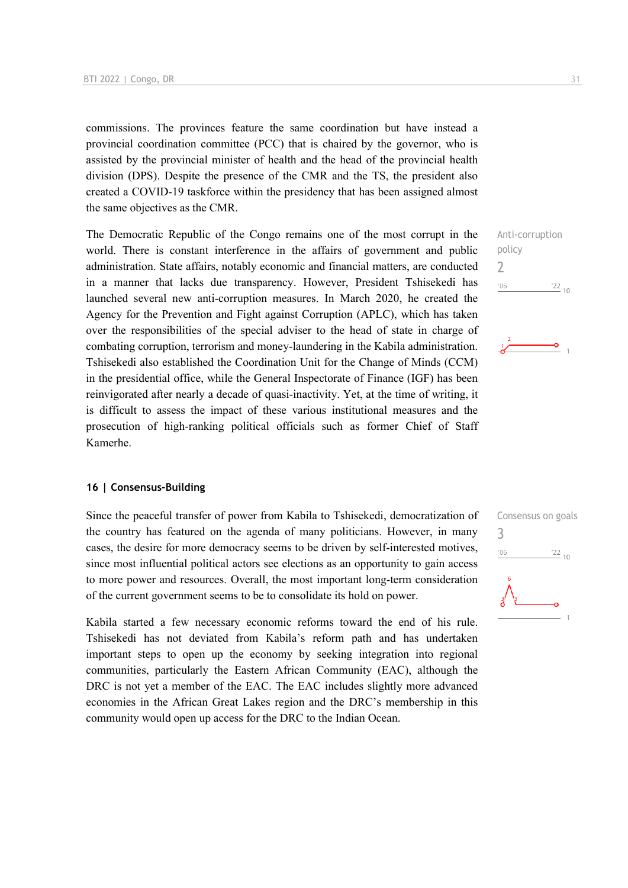commissions. The provinces feature the same coordination but have instead a provincial coordination committee (PCC) that is chaired by the governor, who is assisted by the provincial minister of health and the head of the provincial health division (DPS). Despite the presence of the CMR and the TS, the president also created a COVID-19 taskforce within the presidency that has been assigned almost the same objectives as the CMR.

The Democratic Republic of the Congo remains one of the most corrupt in the world. There is constant interference in the affairs of government and public administration. State affairs, notably economic and financial matters, are conducted in a manner that lacks due transparency. However, President Tshisekedi has launched several new anti-corruption measures. In March 2020, he created the Agency for the Prevention and Fight against Corruption (APLC), which has taken over the responsibilities of the special adviser to the head of state in charge of combating corruption, terrorism and money-laundering in the Kabila administration. Tshisekedi also established the Coordination Unit for the Change of Minds (CCM) in the presidential office, while the General Inspectorate of Finance (IGF) has been reinvigorated after nearly a decade of quasi-inactivity. Yet, at the time of writing, it is difficult to assess the impact of these various institutional measures and the prosecution of high-ranking political officials such as former Chief of Staff Kamerhe.

#### **16 | Consensus-Building**

Since the peaceful transfer of power from Kabila to Tshisekedi, democratization of the country has featured on the agenda of many politicians. However, in many cases, the desire for more democracy seems to be driven by self-interested motives, since most influential political actors see elections as an opportunity to gain access to more power and resources. Overall, the most important long-term consideration of the current government seems to be to consolidate its hold on power.

Kabila started a few necessary economic reforms toward the end of his rule. Tshisekedi has not deviated from Kabila's reform path and has undertaken important steps to open up the economy by seeking integration into regional communities, particularly the Eastern African Community (EAC), although the DRC is not yet a member of the EAC. The EAC includes slightly more advanced economies in the African Great Lakes region and the DRC's membership in this community would open up access for the DRC to the Indian Ocean.

Anti-corruption policy 2  $-06$  $\frac{22}{10}$ 



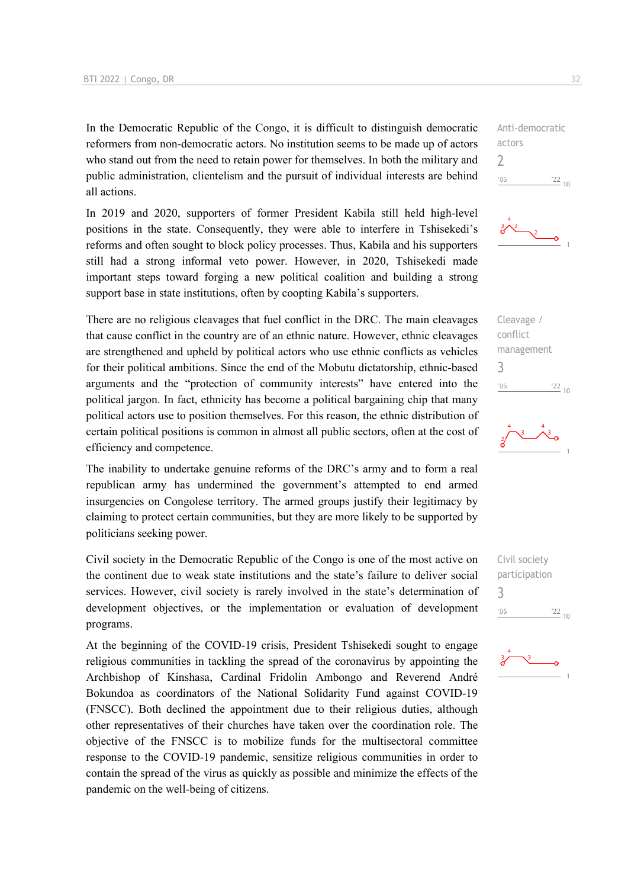In the Democratic Republic of the Congo, it is difficult to distinguish democratic reformers from non-democratic actors. No institution seems to be made up of actors who stand out from the need to retain power for themselves. In both the military and public administration, clientelism and the pursuit of individual interests are behind all actions.

In 2019 and 2020, supporters of former President Kabila still held high-level positions in the state. Consequently, they were able to interfere in Tshisekedi's reforms and often sought to block policy processes. Thus, Kabila and his supporters still had a strong informal veto power. However, in 2020, Tshisekedi made important steps toward forging a new political coalition and building a strong support base in state institutions, often by coopting Kabila's supporters.

There are no religious cleavages that fuel conflict in the DRC. The main cleavages that cause conflict in the country are of an ethnic nature. However, ethnic cleavages are strengthened and upheld by political actors who use ethnic conflicts as vehicles for their political ambitions. Since the end of the Mobutu dictatorship, ethnic-based arguments and the "protection of community interests" have entered into the political jargon. In fact, ethnicity has become a political bargaining chip that many political actors use to position themselves. For this reason, the ethnic distribution of certain political positions is common in almost all public sectors, often at the cost of efficiency and competence.

The inability to undertake genuine reforms of the DRC's army and to form a real republican army has undermined the government's attempted to end armed insurgencies on Congolese territory. The armed groups justify their legitimacy by claiming to protect certain communities, but they are more likely to be supported by politicians seeking power.

Civil society in the Democratic Republic of the Congo is one of the most active on the continent due to weak state institutions and the state's failure to deliver social services. However, civil society is rarely involved in the state's determination of development objectives, or the implementation or evaluation of development programs.

At the beginning of the COVID-19 crisis, President Tshisekedi sought to engage religious communities in tackling the spread of the coronavirus by appointing the Archbishop of Kinshasa, Cardinal Fridolin Ambongo and Reverend André Bokundoa as coordinators of the National Solidarity Fund against COVID-19 (FNSCC). Both declined the appointment due to their religious duties, although other representatives of their churches have taken over the coordination role. The objective of the FNSCC is to mobilize funds for the multisectoral committee response to the COVID-19 pandemic, sensitize religious communities in order to contain the spread of the virus as quickly as possible and minimize the effects of the pandemic on the well-being of citizens.

Anti-democratic actors 2  $^{\prime}06$  $\frac{22}{10}$ 







Civil society participation 3 $106$  $\frac{22}{10}$ 

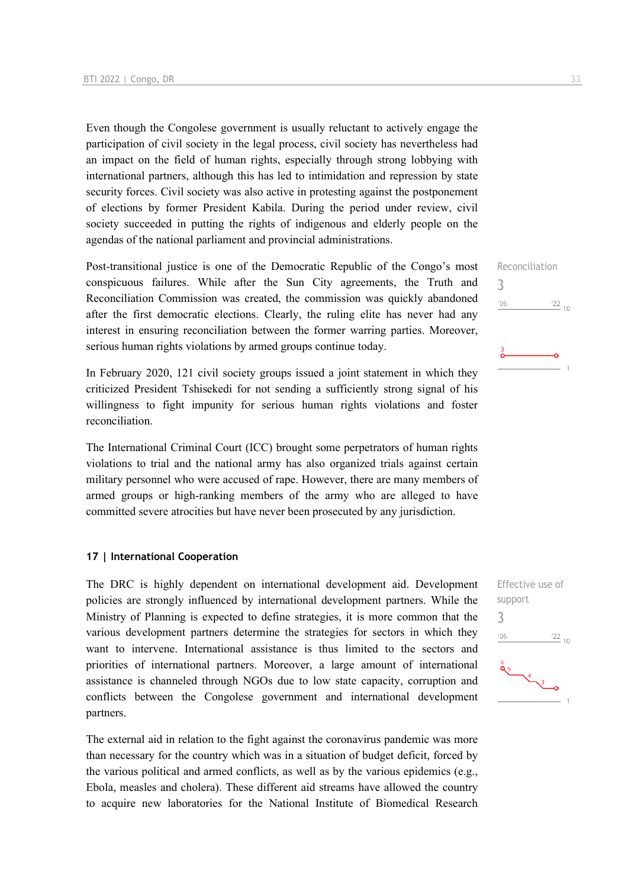Even though the Congolese government is usually reluctant to actively engage the participation of civil society in the legal process, civil society has nevertheless had an impact on the field of human rights, especially through strong lobbying with international partners, although this has led to intimidation and repression by state security forces. Civil society was also active in protesting against the postponement of elections by former President Kabila. During the period under review, civil society succeeded in putting the rights of indigenous and elderly people on the agendas of the national parliament and provincial administrations.

Post-transitional justice is one of the Democratic Republic of the Congo's most conspicuous failures. While after the Sun City agreements, the Truth and Reconciliation Commission was created, the commission was quickly abandoned after the first democratic elections. Clearly, the ruling elite has never had any interest in ensuring reconciliation between the former warring parties. Moreover, serious human rights violations by armed groups continue today.

In February 2020, 121 civil society groups issued a joint statement in which they criticized President Tshisekedi for not sending a sufficiently strong signal of his willingness to fight impunity for serious human rights violations and foster reconciliation.

The International Criminal Court (ICC) brought some perpetrators of human rights violations to trial and the national army has also organized trials against certain military personnel who were accused of rape. However, there are many members of armed groups or high-ranking members of the army who are alleged to have committed severe atrocities but have never been prosecuted by any jurisdiction.

#### **17 | International Cooperation**

The DRC is highly dependent on international development aid. Development policies are strongly influenced by international development partners. While the Ministry of Planning is expected to define strategies, it is more common that the various development partners determine the strategies for sectors in which they want to intervene. International assistance is thus limited to the sectors and priorities of international partners. Moreover, a large amount of international assistance is channeled through NGOs due to low state capacity, corruption and conflicts between the Congolese government and international development partners.

The external aid in relation to the fight against the coronavirus pandemic was more than necessary for the country which was in a situation of budget deficit, forced by the various political and armed conflicts, as well as by the various epidemics (e.g., Ebola, measles and cholera). These different aid streams have allowed the country to acquire new laboratories for the National Institute of Biomedical Research Reconciliation 3  $\frac{22}{10}$  $-06$ 

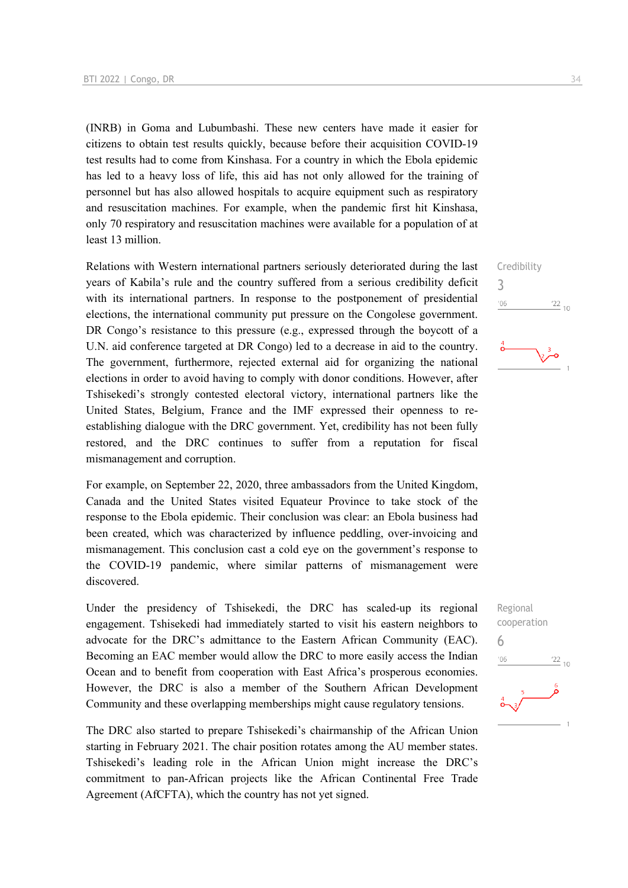(INRB) in Goma and Lubumbashi. These new centers have made it easier for citizens to obtain test results quickly, because before their acquisition COVID-19 test results had to come from Kinshasa. For a country in which the Ebola epidemic has led to a heavy loss of life, this aid has not only allowed for the training of personnel but has also allowed hospitals to acquire equipment such as respiratory and resuscitation machines. For example, when the pandemic first hit Kinshasa, only 70 respiratory and resuscitation machines were available for a population of at least 13 million.

Relations with Western international partners seriously deteriorated during the last years of Kabila's rule and the country suffered from a serious credibility deficit with its international partners. In response to the postponement of presidential elections, the international community put pressure on the Congolese government. DR Congo's resistance to this pressure (e.g., expressed through the boycott of a U.N. aid conference targeted at DR Congo) led to a decrease in aid to the country. The government, furthermore, rejected external aid for organizing the national elections in order to avoid having to comply with donor conditions. However, after Tshisekedi's strongly contested electoral victory, international partners like the United States, Belgium, France and the IMF expressed their openness to reestablishing dialogue with the DRC government. Yet, credibility has not been fully restored, and the DRC continues to suffer from a reputation for fiscal mismanagement and corruption.

For example, on September 22, 2020, three ambassadors from the United Kingdom, Canada and the United States visited Equateur Province to take stock of the response to the Ebola epidemic. Their conclusion was clear: an Ebola business had been created, which was characterized by influence peddling, over-invoicing and mismanagement. This conclusion cast a cold eye on the government's response to the COVID-19 pandemic, where similar patterns of mismanagement were discovered.

Under the presidency of Tshisekedi, the DRC has scaled-up its regional engagement. Tshisekedi had immediately started to visit his eastern neighbors to advocate for the DRC's admittance to the Eastern African Community (EAC). Becoming an EAC member would allow the DRC to more easily access the Indian Ocean and to benefit from cooperation with East Africa's prosperous economies. However, the DRC is also a member of the Southern African Development Community and these overlapping memberships might cause regulatory tensions.

The DRC also started to prepare Tshisekedi's chairmanship of the African Union starting in February 2021. The chair position rotates among the AU member states. Tshisekedi's leading role in the African Union might increase the DRC's commitment to pan-African projects like the African Continental Free Trade Agreement (AfCFTA), which the country has not yet signed.





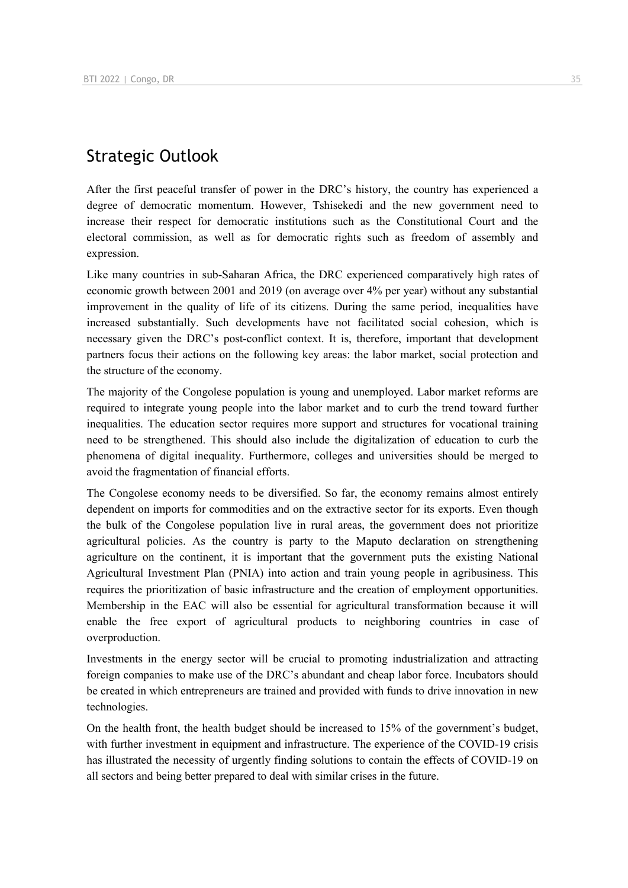## Strategic Outlook

After the first peaceful transfer of power in the DRC's history, the country has experienced a degree of democratic momentum. However, Tshisekedi and the new government need to increase their respect for democratic institutions such as the Constitutional Court and the electoral commission, as well as for democratic rights such as freedom of assembly and expression.

Like many countries in sub-Saharan Africa, the DRC experienced comparatively high rates of economic growth between 2001 and 2019 (on average over 4% per year) without any substantial improvement in the quality of life of its citizens. During the same period, inequalities have increased substantially. Such developments have not facilitated social cohesion, which is necessary given the DRC's post-conflict context. It is, therefore, important that development partners focus their actions on the following key areas: the labor market, social protection and the structure of the economy.

The majority of the Congolese population is young and unemployed. Labor market reforms are required to integrate young people into the labor market and to curb the trend toward further inequalities. The education sector requires more support and structures for vocational training need to be strengthened. This should also include the digitalization of education to curb the phenomena of digital inequality. Furthermore, colleges and universities should be merged to avoid the fragmentation of financial efforts.

The Congolese economy needs to be diversified. So far, the economy remains almost entirely dependent on imports for commodities and on the extractive sector for its exports. Even though the bulk of the Congolese population live in rural areas, the government does not prioritize agricultural policies. As the country is party to the Maputo declaration on strengthening agriculture on the continent, it is important that the government puts the existing National Agricultural Investment Plan (PNIA) into action and train young people in agribusiness. This requires the prioritization of basic infrastructure and the creation of employment opportunities. Membership in the EAC will also be essential for agricultural transformation because it will enable the free export of agricultural products to neighboring countries in case of overproduction.

Investments in the energy sector will be crucial to promoting industrialization and attracting foreign companies to make use of the DRC's abundant and cheap labor force. Incubators should be created in which entrepreneurs are trained and provided with funds to drive innovation in new technologies.

On the health front, the health budget should be increased to 15% of the government's budget, with further investment in equipment and infrastructure. The experience of the COVID-19 crisis has illustrated the necessity of urgently finding solutions to contain the effects of COVID-19 on all sectors and being better prepared to deal with similar crises in the future.